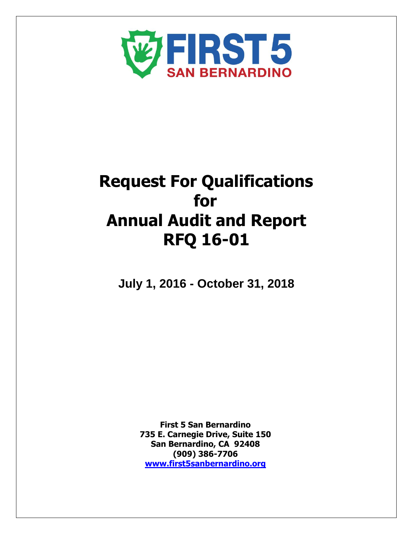

# **Request For Qualifications for Annual Audit and Report RFQ 16-01**

**July 1, 2016 - October 31, 2018**

**First 5 San Bernardino 735 E. Carnegie Drive, Suite 150 San Bernardino, CA 92408 (909) 386-7706 [www.first5sanbernardino.org](http://www.first5sanbernardino.org/)**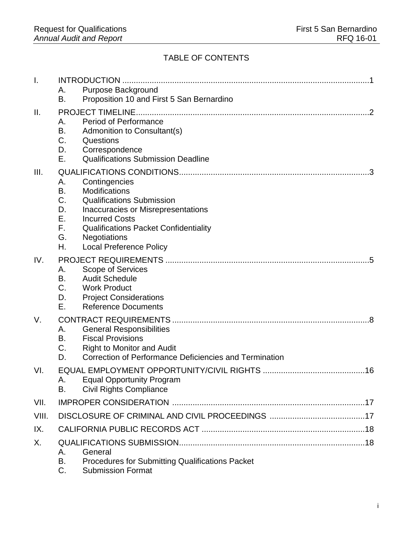# TABLE OF CONTENTS

| I.    | Purpose Background<br>Α.<br>B.<br>Proposition 10 and First 5 San Bernardino                                                                                                                                                                                                                             |
|-------|---------------------------------------------------------------------------------------------------------------------------------------------------------------------------------------------------------------------------------------------------------------------------------------------------------|
| II.   | <b>Period of Performance</b><br>Α.<br>В.<br>Admonition to Consultant(s)<br>C.<br>Questions<br>Correspondence<br>D.<br><b>Qualifications Submission Deadline</b><br>Е.                                                                                                                                   |
| III.  | .3<br>Contingencies<br>Α.<br><b>Modifications</b><br>B.<br>C.<br><b>Qualifications Submission</b><br>D.<br>Inaccuracies or Misrepresentations<br>Ε.<br><b>Incurred Costs</b><br>F.<br><b>Qualifications Packet Confidentiality</b><br>G.<br><b>Negotiations</b><br><b>Local Preference Policy</b><br>Η. |
| IV.   | Scope of Services<br>А.<br><b>Audit Schedule</b><br>В.<br>C.<br><b>Work Product</b><br><b>Project Considerations</b><br>D.<br>Ε.<br><b>Reference Documents</b>                                                                                                                                          |
| V.    | <b>General Responsibilities</b><br>Α.<br>В.<br><b>Fiscal Provisions</b><br>C.<br><b>Right to Monitor and Audit</b><br>Correction of Performance Deficiencies and Termination<br>D.                                                                                                                      |
| VI.   | <b>Equal Opportunity Program</b><br>А.<br><b>Civil Rights Compliance</b><br>В.                                                                                                                                                                                                                          |
| VII.  |                                                                                                                                                                                                                                                                                                         |
| VIII. |                                                                                                                                                                                                                                                                                                         |
| IX.   |                                                                                                                                                                                                                                                                                                         |
| Х.    | General<br>Α.<br><b>Procedures for Submitting Qualifications Packet</b><br>В.<br>C.<br><b>Submission Format</b>                                                                                                                                                                                         |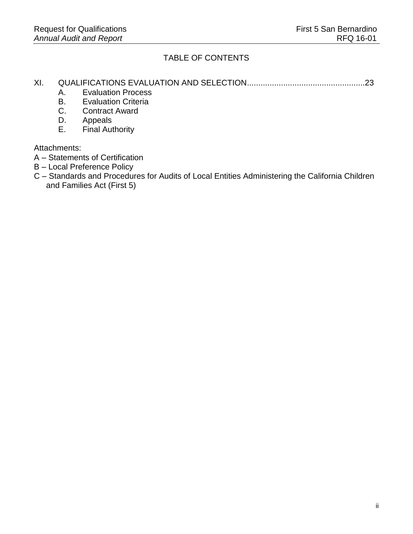# TABLE OF CONTENTS

| XI. |  |  |
|-----|--|--|
|-----|--|--|

- A. Evaluation Process
- B. Evaluation Criteria
- C. Contract Award
- D. Appeals
- E. Final Authority

Attachments:

- A Statements of Certification
- B Local Preference Policy
- C Standards and Procedures for Audits of Local Entities Administering the California Children and Families Act (First 5)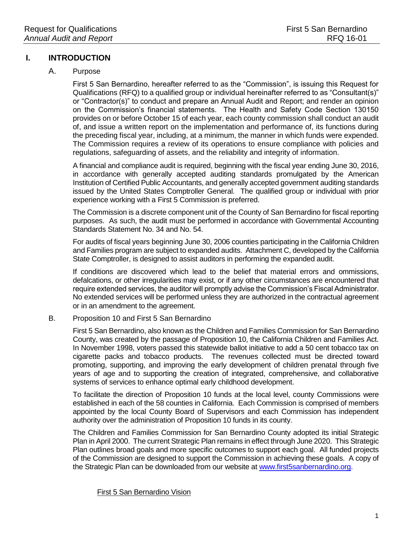# **I. INTRODUCTION**

# A. Purpose

First 5 San Bernardino, hereafter referred to as the "Commission", is issuing this Request for Qualifications (RFQ) to a qualified group or individual hereinafter referred to as "Consultant(s)" or "Contractor(s)" to conduct and prepare an Annual Audit and Report; and render an opinion on the Commission's financial statements. The Health and Safety Code Section 130150 provides on or before October 15 of each year, each county commission shall conduct an audit of, and issue a written report on the implementation and performance of, its functions during the preceding fiscal year, including, at a minimum, the manner in which funds were expended. The Commission requires a review of its operations to ensure compliance with policies and regulations, safeguarding of assets, and the reliability and integrity of information.

A financial and compliance audit is required, beginning with the fiscal year ending June 30, 2016, in accordance with generally accepted auditing standards promulgated by the American Institution of Certified Public Accountants, and generally accepted government auditing standards issued by the United States Comptroller General. The qualified group or individual with prior experience working with a First 5 Commission is preferred.

The Commission is a discrete component unit of the County of San Bernardino for fiscal reporting purposes. As such, the audit must be performed in accordance with Governmental Accounting Standards Statement No. 34 and No. 54.

For audits of fiscal years beginning June 30, 2006 counties participating in the California Children and Families program are subject to expanded audits. Attachment C, developed by the California State Comptroller, is designed to assist auditors in performing the expanded audit.

If conditions are discovered which lead to the belief that material errors and ommissions, defalcations, or other irregularities may exist, or if any other circumstances are encountered that require extended services, the auditor will promptly advise the Commission's Fiscal Administrator. No extended services will be performed unless they are authorized in the contractual agreement or in an amendment to the agreement.

## B. Proposition 10 and First 5 San Bernardino

First 5 San Bernardino, also known as the Children and Families Commission for San Bernardino County, was created by the passage of Proposition 10, the California Children and Families Act. In November 1998, voters passed this statewide ballot initiative to add a 50 cent tobacco tax on cigarette packs and tobacco products. The revenues collected must be directed toward promoting, supporting, and improving the early development of children prenatal through five years of age and to supporting the creation of integrated, comprehensive, and collaborative systems of services to enhance optimal early childhood development.

To facilitate the direction of Proposition 10 funds at the local level, county Commissions were established in each of the 58 counties in California. Each Commission is comprised of members appointed by the local County Board of Supervisors and each Commission has independent authority over the administration of Proposition 10 funds in its county.

The Children and Families Commission for San Bernardino County adopted its initial Strategic Plan in April 2000. The current Strategic Plan remains in effect through June 2020. This Strategic Plan outlines broad goals and more specific outcomes to support each goal. All funded projects of the Commission are designed to support the Commission in achieving these goals. A copy of the Strategic Plan can be downloaded from our website at [www.first5sanbernardino.org.](http://www.first5sanbernardino.org/)

First 5 San Bernardino Vision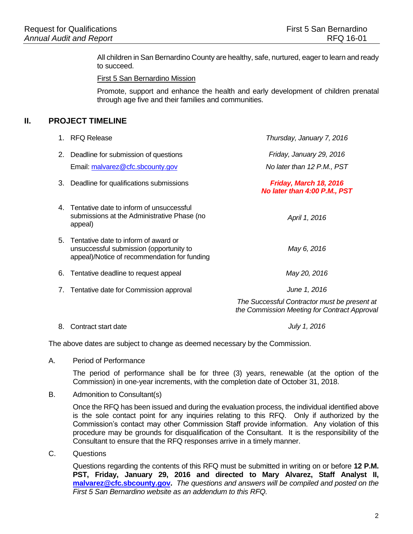All children in San Bernardino County are healthy, safe, nurtured, eager to learn and ready to succeed.

First 5 San Bernardino Mission

Promote, support and enhance the health and early development of children prenatal through age five and their families and communities.

# **II. PROJECT TIMELINE**

| 1. RFQ Release                                                                                                                     | Thursday, January 7, 2016                                                                    |
|------------------------------------------------------------------------------------------------------------------------------------|----------------------------------------------------------------------------------------------|
| 2. Deadline for submission of questions                                                                                            | Friday, January 29, 2016                                                                     |
| Email: malvarez@cfc.sbcounty.gov                                                                                                   | No later than 12 P.M., PST                                                                   |
| 3. Deadline for qualifications submissions                                                                                         | Friday, March 18, 2016<br>No later than 4:00 P.M., PST                                       |
| 4. Tentative date to inform of unsuccessful<br>submissions at the Administrative Phase (no<br>appeal)                              | April 1, 2016                                                                                |
| 5. Tentative date to inform of award or<br>unsuccessful submission (opportunity to<br>appeal)/Notice of recommendation for funding | May 6, 2016                                                                                  |
| 6. Tentative deadline to request appeal                                                                                            | May 20, 2016                                                                                 |
| 7. Tentative date for Commission approval                                                                                          | June 1, 2016                                                                                 |
|                                                                                                                                    | The Successful Contractor must be present at<br>the Commission Meeting for Contract Approval |

8. Contract start date *July 1, 2016*

The above dates are subject to change as deemed necessary by the Commission.

A. Period of Performance

The period of performance shall be for three (3) years, renewable (at the option of the Commission) in one-year increments, with the completion date of October 31, 2018.

B. Admonition to Consultant(s)

Once the RFQ has been issued and during the evaluation process, the individual identified above is the sole contact point for any inquiries relating to this RFQ. Only if authorized by the Commission's contact may other Commission Staff provide information. Any violation of this procedure may be grounds for disqualification of the Consultant. It is the responsibility of the Consultant to ensure that the RFQ responses arrive in a timely manner.

C. Questions

Questions regarding the contents of this RFQ must be submitted in writing on or before **12 P.M. PST, Friday, January 29, 2016 and directed to Mary Alvarez, Staff Analyst II, [malvarez@cfc.sbcounty.gov.](mailto:malvarez@cfc.sbcounty.gov)** *The questions and answers will be compiled and posted on the First 5 San Bernardino website as an addendum to this RFQ.*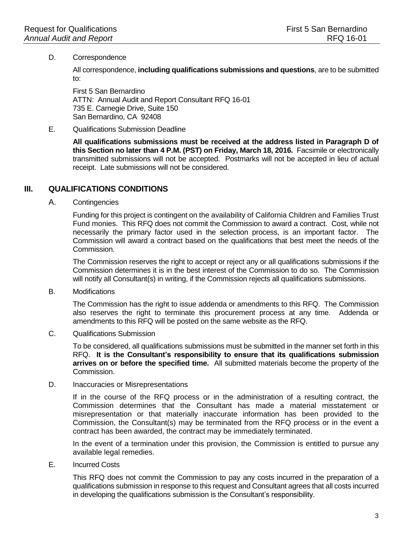# D. Correspondence

All correspondence, **including qualifications submissions and questions**, are to be submitted to:

First 5 San Bernardino ATTN: Annual Audit and Report Consultant RFQ 16-01 735 E. Carnegie Drive, Suite 150 San Bernardino, CA 92408

E. Qualifications Submission Deadline

**All qualifications submissions must be received at the address listed in Paragraph D of this Section no later than 4 P.M. (PST) on Friday, March 18, 2016.** Facsimile or electronically transmitted submissions will not be accepted. Postmarks will not be accepted in lieu of actual receipt. Late submissions will not be considered.

# **III. QUALIFICATIONS CONDITIONS**

A. Contingencies

Funding for this project is contingent on the availability of California Children and Families Trust Fund monies. This RFQ does not commit the Commission to award a contract. Cost, while not necessarily the primary factor used in the selection process, is an important factor. The Commission will award a contract based on the qualifications that best meet the needs of the Commission.

The Commission reserves the right to accept or reject any or all qualifications submissions if the Commission determines it is in the best interest of the Commission to do so. The Commission will notify all Consultant(s) in writing, if the Commission rejects all qualifications submissions.

B. Modifications

The Commission has the right to issue addenda or amendments to this RFQ. The Commission also reserves the right to terminate this procurement process at any time. Addenda or amendments to this RFQ will be posted on the same website as the RFQ.

C. Qualifications Submission

To be considered, all qualifications submissions must be submitted in the manner set forth in this RFQ. **It is the Consultant's responsibility to ensure that its qualifications submission arrives on or before the specified time.** All submitted materials become the property of the Commission.

D. Inaccuracies or Misrepresentations

If in the course of the RFQ process or in the administration of a resulting contract, the Commission determines that the Consultant has made a material misstatement or misrepresentation or that materially inaccurate information has been provided to the Commission, the Consultant(s) may be terminated from the RFQ process or in the event a contract has been awarded, the contract may be immediately terminated.

In the event of a termination under this provision, the Commission is entitled to pursue any available legal remedies.

E. Incurred Costs

This RFQ does not commit the Commission to pay any costs incurred in the preparation of a qualifications submission in response to this request and Consultant agrees that all costs incurred in developing the qualifications submission is the Consultant's responsibility.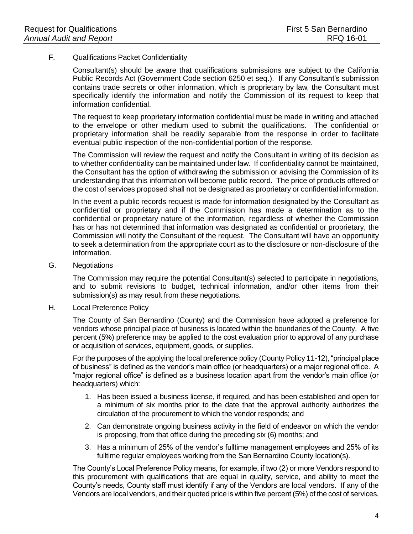# F. Qualifications Packet Confidentiality

Consultant(s) should be aware that qualifications submissions are subject to the California Public Records Act (Government Code section 6250 et seq.). If any Consultant's submission contains trade secrets or other information, which is proprietary by law, the Consultant must specifically identify the information and notify the Commission of its request to keep that information confidential.

The request to keep proprietary information confidential must be made in writing and attached to the envelope or other medium used to submit the qualifications. The confidential or proprietary information shall be readily separable from the response in order to facilitate eventual public inspection of the non-confidential portion of the response.

The Commission will review the request and notify the Consultant in writing of its decision as to whether confidentiality can be maintained under law. If confidentiality cannot be maintained, the Consultant has the option of withdrawing the submission or advising the Commission of its understanding that this information will become public record. The price of products offered or the cost of services proposed shall not be designated as proprietary or confidential information.

In the event a public records request is made for information designated by the Consultant as confidential or proprietary and if the Commission has made a determination as to the confidential or proprietary nature of the information, regardless of whether the Commission has or has not determined that information was designated as confidential or proprietary, the Commission will notify the Consultant of the request. The Consultant will have an opportunity to seek a determination from the appropriate court as to the disclosure or non-disclosure of the information.

G. Negotiations

The Commission may require the potential Consultant(s) selected to participate in negotiations, and to submit revisions to budget, technical information, and/or other items from their submission(s) as may result from these negotiations.

H. Local Preference Policy

The County of San Bernardino (County) and the Commission have adopted a preference for vendors whose principal place of business is located within the boundaries of the County. A five percent (5%) preference may be applied to the cost evaluation prior to approval of any purchase or acquisition of services, equipment, goods, or supplies.

For the purposes of the applying the local preference policy (County Policy 11-12), "principal place of business" is defined as the vendor's main office (or headquarters) or a major regional office. A "major regional office" is defined as a business location apart from the vendor's main office (or headquarters) which:

- 1. Has been issued a business license, if required, and has been established and open for a minimum of six months prior to the date that the approval authority authorizes the circulation of the procurement to which the vendor responds; and
- 2. Can demonstrate ongoing business activity in the field of endeavor on which the vendor is proposing, from that office during the preceding six (6) months; and
- 3. Has a minimum of 25% of the vendor's fulltime management employees and 25% of its fulltime regular employees working from the San Bernardino County location(s).

The County's Local Preference Policy means, for example, if two (2) or more Vendors respond to this procurement with qualifications that are equal in quality, service, and ability to meet the County's needs, County staff must identify if any of the Vendors are local vendors. If any of the Vendors are local vendors, and their quoted price is within five percent (5%) of the cost of services,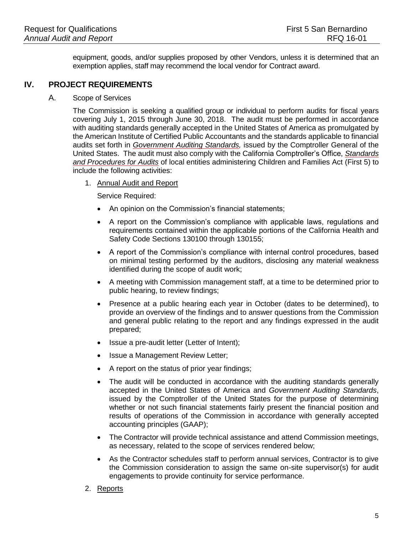equipment, goods, and/or supplies proposed by other Vendors, unless it is determined that an exemption applies, staff may recommend the local vendor for Contract award.

# **IV. PROJECT REQUIREMENTS**

A. Scope of Services

The Commission is seeking a qualified group or individual to perform audits for fiscal years covering July 1, 2015 through June 30, 2018. The audit must be performed in accordance with auditing standards generally accepted in the United States of America as promulgated by the American Institute of Certified Public Accountants and the standards applicable to financial audits set forth in *Government Auditing Standards,* issued by the Comptroller General of the United States. The audit must also comply with the California Comptroller's Office, *Standards and Procedures for Audits* of local entities administering Children and Families Act (First 5) to include the following activities:

1. Annual Audit and Report

Service Required:

- An opinion on the Commission's financial statements;
- A report on the Commission's compliance with applicable laws, regulations and requirements contained within the applicable portions of the California Health and Safety Code Sections 130100 through 130155;
- A report of the Commission's compliance with internal control procedures, based on minimal testing performed by the auditors, disclosing any material weakness identified during the scope of audit work;
- A meeting with Commission management staff, at a time to be determined prior to public hearing, to review findings;
- Presence at a public hearing each year in October (dates to be determined), to provide an overview of the findings and to answer questions from the Commission and general public relating to the report and any findings expressed in the audit prepared;
- Issue a pre-audit letter (Letter of Intent);
- Issue a Management Review Letter;
- A report on the status of prior year findings;
- The audit will be conducted in accordance with the auditing standards generally accepted in the United States of America and *Government Auditing Standards*, issued by the Comptroller of the United States for the purpose of determining whether or not such financial statements fairly present the financial position and results of operations of the Commission in accordance with generally accepted accounting principles (GAAP);
- The Contractor will provide technical assistance and attend Commission meetings, as necessary, related to the scope of services rendered below;
- As the Contractor schedules staff to perform annual services, Contractor is to give the Commission consideration to assign the same on-site supervisor(s) for audit engagements to provide continuity for service performance.
- 2. Reports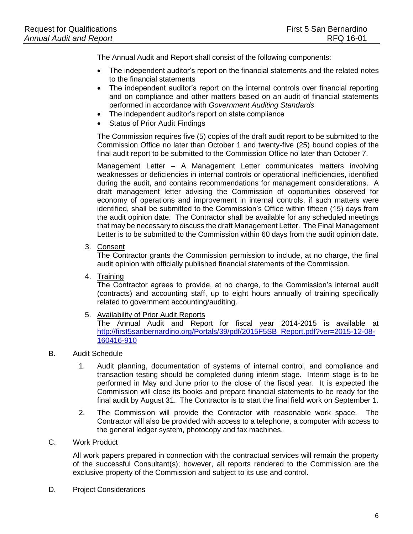The Annual Audit and Report shall consist of the following components:

- The independent auditor's report on the financial statements and the related notes to the financial statements
- The independent auditor's report on the internal controls over financial reporting and on compliance and other matters based on an audit of financial statements performed in accordance with *Government Auditing Standards*
- The independent auditor's report on state compliance
- Status of Prior Audit Findings

The Commission requires five (5) copies of the draft audit report to be submitted to the Commission Office no later than October 1 and twenty-five (25) bound copies of the final audit report to be submitted to the Commission Office no later than October 7.

Management Letter – A Management Letter communicates matters involving weaknesses or deficiencies in internal controls or operational inefficiencies, identified during the audit, and contains recommendations for management considerations. A draft management letter advising the Commission of opportunities observed for economy of operations and improvement in internal controls, if such matters were identified, shall be submitted to the Commission's Office within fifteen (15) days from the audit opinion date. The Contractor shall be available for any scheduled meetings that may be necessary to discuss the draft Management Letter. The Final Management Letter is to be submitted to the Commission within 60 days from the audit opinion date.

3. Consent

The Contractor grants the Commission permission to include, at no charge, the final audit opinion with officially published financial statements of the Commission.

4. Training

The Contractor agrees to provide, at no charge, to the Commission's internal audit (contracts) and accounting staff, up to eight hours annually of training specifically related to government accounting/auditing.

5. Availability of Prior Audit Reports

The Annual Audit and Report for fiscal year 2014-2015 is available at [http://first5sanbernardino.org/Portals/39/pdf/2015F5SB\\_Report.pdf?ver=2015-12-08-](http://first5sanbernardino.org/Portals/39/pdf/2015F5SB_Report.pdf?ver=2015-12-08-160416-910) [160416-910](http://first5sanbernardino.org/Portals/39/pdf/2015F5SB_Report.pdf?ver=2015-12-08-160416-910)

- B. Audit Schedule
	- 1. Audit planning, documentation of systems of internal control, and compliance and transaction testing should be completed during interim stage. Interim stage is to be performed in May and June prior to the close of the fiscal year. It is expected the Commission will close its books and prepare financial statements to be ready for the final audit by August 31. The Contractor is to start the final field work on September 1.
	- 2. The Commission will provide the Contractor with reasonable work space. The Contractor will also be provided with access to a telephone, a computer with access to the general ledger system, photocopy and fax machines.
- C. Work Product

All work papers prepared in connection with the contractual services will remain the property of the successful Consultant(s); however, all reports rendered to the Commission are the exclusive property of the Commission and subject to its use and control.

D. Project Considerations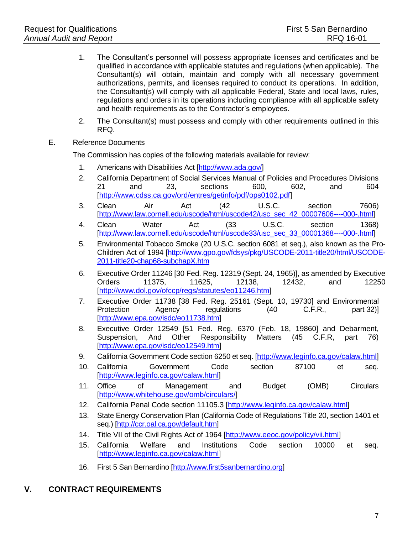- 1. The Consultant's personnel will possess appropriate licenses and certificates and be qualified in accordance with applicable statutes and regulations (when applicable). The Consultant(s) will obtain, maintain and comply with all necessary government authorizations, permits, and licenses required to conduct its operations. In addition, the Consultant(s) will comply with all applicable Federal, State and local laws, rules, regulations and orders in its operations including compliance with all applicable safety and health requirements as to the Contractor's employees.
- 2. The Consultant(s) must possess and comply with other requirements outlined in this RFQ.
- E. Reference Documents

The Commission has copies of the following materials available for review:

- 1. Americans with Disabilities Act [\[http://www.ada.gov/\]](http://www.ada.gov/)
- 2. California Department of Social Services Manual of Policies and Procedures Divisions 21 and 23, sections 600, 602, and 604 [\[http://www.cdss.ca.gov/ord/entres/getinfo/pdf/ops0102.pdf\]](http://www.cdss.ca.gov/ord/entres/getinfo/pdf/ops0102.pdf)
- 3. Clean Air Act (42 U.S.C. section 7606) [\[http://www.law.cornell.edu/uscode/html/uscode42/usc\\_sec\\_42\\_00007606----000-.html\]](http://www.law.cornell.edu/uscode/html/uscode42/usc_sec_42_00007606----000-.html)
- 4. Clean Water Act (33 U.S.C. section 1368) [\[http://www.law.cornell.edu/uscode/html/uscode33/usc\\_sec\\_33\\_00001368----000-.html\]](http://www.law.cornell.edu/uscode/html/uscode33/usc_sec_33_00001368----000-.html)
- 5. Environmental Tobacco Smoke (20 U.S.C. section 6081 et seq.), also known as the Pro-Children Act of 1994 [\[http://www.gpo.gov/fdsys/pkg/USCODE-2011-title20/html/USCODE-](http://www.gpo.gov/fdsys/pkg/USCODE-2011-title20/html/USCODE-2011-title20-chap68-subchapX.htm)[2011-title20-chap68-subchapX.htm](http://www.gpo.gov/fdsys/pkg/USCODE-2011-title20/html/USCODE-2011-title20-chap68-subchapX.htm)
- 6. Executive Order 11246 [30 Fed. Reg. 12319 (Sept. 24, 1965)], as amended by Executive Orders 11375, 11625, 12138, 12432, and 12250 [\[http://www.dol.gov/ofccp/regs/statutes/eo11246.htm\]](http://www.dol.gov/ofccp/regs/statutes/eo11246.htm)
- 7. Executive Order 11738 [38 Fed. Reg. 25161 (Sept. 10, 19730] and Environmental<br>Protection a Agency regulations (40 C.F.R., part 32)] Agency regulations (40 C.F.R., part 32)] [\[http://www.epa.gov/isdc/eo11738.htm\]](http://www.epa.gov/isdc/eo11738.htm)
- 8. Executive Order 12549 [51 Fed. Reg. 6370 (Feb. 18, 19860] and Debarment, Suspension, And Other Responsibility Matters (45 C.F.R, part 76) [\[http://www.epa.gov/isdc/eo12549.htm\]](http://www.epa.gov/isdc/eo12549.htm)
- 9. California Government Code section 6250 et seq. [\[http://www.leginfo.ca.gov/calaw.html\]](http://www.leginfo.ca.gov/calaw.html)
- 10. California Government Code section 87100 et seq. [\[http://www.leginfo.ca.gov/calaw.html\]](http://www.leginfo.ca.gov/calaw.html)
- 11. Office of Management and Budget (OMB) Circulars [\[http://www.whitehouse.gov/omb/circulars/\]](http://www.whitehouse.gov/omb/circulars/)
- 12. California Penal Code section 11105.3 [\[http://www.leginfo.ca.gov/calaw.html\]](http://www.leginfo.ca.gov/calaw.html)
- 13. State Energy Conservation Plan (California Code of Regulations Title 20, section 1401 et seq.) [\[http://ccr.oal.ca.gov/default.htm\]](http://ccr.oal.ca.gov/default.htm)
- 14. Title VII of the Civil Rights Act of 1964 [\[http://www.eeoc.gov/policy/vii.html\]](http://www.eeoc.gov/policy/vii.html)
- 15. California Welfare and Institutions Code section 10000 et seq. [\[http://www.leginfo.ca.gov/calaw.html\]](http://www.leginfo.ca.gov/calaw.html)
- 16. First 5 San Bernardino [\[http://www.first5sanbernardino.org\]](http://www.first5sanbernardino.org/)

# **V. CONTRACT REQUIREMENTS**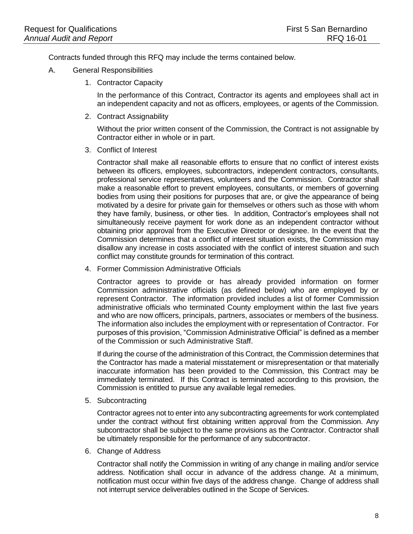Contracts funded through this RFQ may include the terms contained below.

- A. General Responsibilities
	- 1. Contractor Capacity

In the performance of this Contract, Contractor its agents and employees shall act in an independent capacity and not as officers, employees, or agents of the Commission.

2. Contract Assignability

Without the prior written consent of the Commission, the Contract is not assignable by Contractor either in whole or in part.

3. Conflict of Interest

Contractor shall make all reasonable efforts to ensure that no conflict of interest exists between its officers, employees, subcontractors, independent contractors, consultants, professional service representatives, volunteers and the Commission. Contractor shall make a reasonable effort to prevent employees, consultants, or members of governing bodies from using their positions for purposes that are, or give the appearance of being motivated by a desire for private gain for themselves or others such as those with whom they have family, business, or other ties. In addition, Contractor's employees shall not simultaneously receive payment for work done as an independent contractor without obtaining prior approval from the Executive Director or designee. In the event that the Commission determines that a conflict of interest situation exists, the Commission may disallow any increase in costs associated with the conflict of interest situation and such conflict may constitute grounds for termination of this contract.

4. Former Commission Administrative Officials

Contractor agrees to provide or has already provided information on former Commission administrative officials (as defined below) who are employed by or represent Contractor. The information provided includes a list of former Commission administrative officials who terminated County employment within the last five years and who are now officers, principals, partners, associates or members of the business. The information also includes the employment with or representation of Contractor. For purposes of this provision, "Commission Administrative Official" is defined as a member of the Commission or such Administrative Staff.

If during the course of the administration of this Contract, the Commission determines that the Contractor has made a material misstatement or misrepresentation or that materially inaccurate information has been provided to the Commission, this Contract may be immediately terminated. If this Contract is terminated according to this provision, the Commission is entitled to pursue any available legal remedies.

5. Subcontracting

Contractor agrees not to enter into any subcontracting agreements for work contemplated under the contract without first obtaining written approval from the Commission. Any subcontractor shall be subject to the same provisions as the Contractor. Contractor shall be ultimately responsible for the performance of any subcontractor.

6. Change of Address

Contractor shall notify the Commission in writing of any change in mailing and/or service address. Notification shall occur in advance of the address change. At a minimum, notification must occur within five days of the address change. Change of address shall not interrupt service deliverables outlined in the Scope of Services.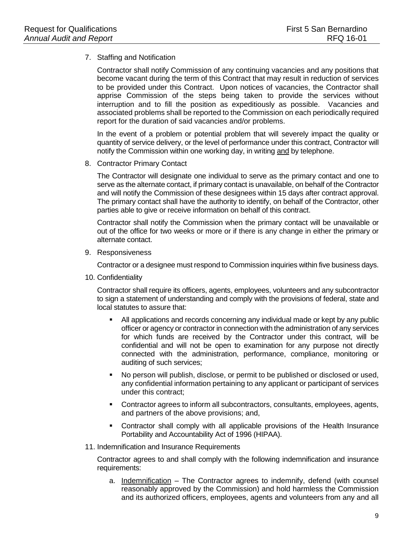# 7. Staffing and Notification

Contractor shall notify Commission of any continuing vacancies and any positions that become vacant during the term of this Contract that may result in reduction of services to be provided under this Contract. Upon notices of vacancies, the Contractor shall apprise Commission of the steps being taken to provide the services without interruption and to fill the position as expeditiously as possible. Vacancies and associated problems shall be reported to the Commission on each periodically required report for the duration of said vacancies and/or problems.

In the event of a problem or potential problem that will severely impact the quality or quantity of service delivery, or the level of performance under this contract, Contractor will notify the Commission within one working day, in writing and by telephone.

8. Contractor Primary Contact

The Contractor will designate one individual to serve as the primary contact and one to serve as the alternate contact, if primary contact is unavailable, on behalf of the Contractor and will notify the Commission of these designees within 15 days after contract approval. The primary contact shall have the authority to identify, on behalf of the Contractor, other parties able to give or receive information on behalf of this contract.

Contractor shall notify the Commission when the primary contact will be unavailable or out of the office for two weeks or more or if there is any change in either the primary or alternate contact.

9. Responsiveness

Contractor or a designee must respond to Commission inquiries within five business days.

10. Confidentiality

Contractor shall require its officers, agents, employees, volunteers and any subcontractor to sign a statement of understanding and comply with the provisions of federal, state and local statutes to assure that:

- All applications and records concerning any individual made or kept by any public officer or agency or contractor in connection with the administration of any services for which funds are received by the Contractor under this contract, will be confidential and will not be open to examination for any purpose not directly connected with the administration, performance, compliance, monitoring or auditing of such services;
- No person will publish, disclose, or permit to be published or disclosed or used, any confidential information pertaining to any applicant or participant of services under this contract;
- Contractor agrees to inform all subcontractors, consultants, employees, agents, and partners of the above provisions; and,
- Contractor shall comply with all applicable provisions of the Health Insurance Portability and Accountability Act of 1996 (HIPAA).
- 11. Indemnification and Insurance Requirements

Contractor agrees to and shall comply with the following indemnification and insurance requirements:

a. Indemnification – The Contractor agrees to indemnify, defend (with counsel reasonably approved by the Commission) and hold harmless the Commission and its authorized officers, employees, agents and volunteers from any and all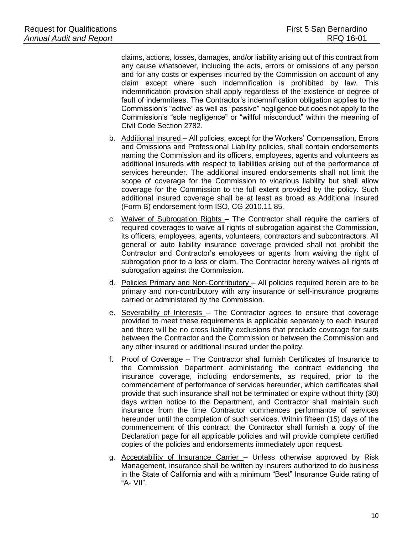claims, actions, losses, damages, and/or liability arising out of this contract from any cause whatsoever, including the acts, errors or omissions of any person and for any costs or expenses incurred by the Commission on account of any claim except where such indemnification is prohibited by law. This indemnification provision shall apply regardless of the existence or degree of fault of indemnitees. The Contractor's indemnification obligation applies to the Commission's "active" as well as "passive" negligence but does not apply to the Commission's "sole negligence" or "willful misconduct" within the meaning of Civil Code Section 2782.

- b. Additional Insured All policies, except for the Workers' Compensation, Errors and Omissions and Professional Liability policies, shall contain endorsements naming the Commission and its officers, employees, agents and volunteers as additional insureds with respect to liabilities arising out of the performance of services hereunder. The additional insured endorsements shall not limit the scope of coverage for the Commission to vicarious liability but shall allow coverage for the Commission to the full extent provided by the policy. Such additional insured coverage shall be at least as broad as Additional Insured (Form B) endorsement form ISO, CG 2010.11 85.
- c. Waiver of Subrogation Rights The Contractor shall require the carriers of required coverages to waive all rights of subrogation against the Commission, its officers, employees, agents, volunteers, contractors and subcontractors. All general or auto liability insurance coverage provided shall not prohibit the Contractor and Contractor's employees or agents from waiving the right of subrogation prior to a loss or claim. The Contractor hereby waives all rights of subrogation against the Commission.
- d. Policies Primary and Non-Contributory All policies required herein are to be primary and non-contributory with any insurance or self-insurance programs carried or administered by the Commission.
- e. Severability of Interests The Contractor agrees to ensure that coverage provided to meet these requirements is applicable separately to each insured and there will be no cross liability exclusions that preclude coverage for suits between the Contractor and the Commission or between the Commission and any other insured or additional insured under the policy.
- f. Proof of Coverage The Contractor shall furnish Certificates of Insurance to the Commission Department administering the contract evidencing the insurance coverage, including endorsements, as required, prior to the commencement of performance of services hereunder, which certificates shall provide that such insurance shall not be terminated or expire without thirty (30) days written notice to the Department, and Contractor shall maintain such insurance from the time Contractor commences performance of services hereunder until the completion of such services. Within fifteen (15) days of the commencement of this contract, the Contractor shall furnish a copy of the Declaration page for all applicable policies and will provide complete certified copies of the policies and endorsements immediately upon request.
- g. Acceptability of Insurance Carrier Unless otherwise approved by Risk Management, insurance shall be written by insurers authorized to do business in the State of California and with a minimum "Best" Insurance Guide rating of "A- VII".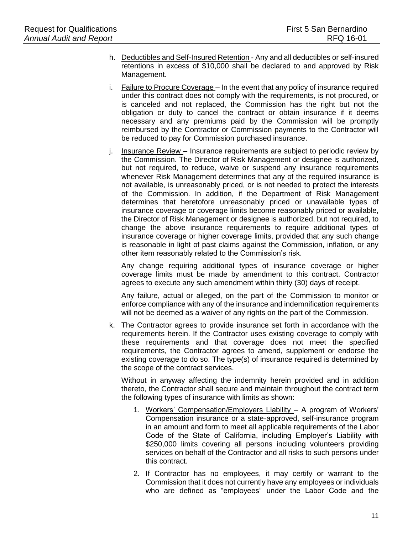- h. Deductibles and Self-Insured Retention Any and all deductibles or self-insured retentions in excess of \$10,000 shall be declared to and approved by Risk Management.
- i. Failure to Procure Coverage In the event that any policy of insurance required under this contract does not comply with the requirements, is not procured, or is canceled and not replaced, the Commission has the right but not the obligation or duty to cancel the contract or obtain insurance if it deems necessary and any premiums paid by the Commission will be promptly reimbursed by the Contractor or Commission payments to the Contractor will be reduced to pay for Commission purchased insurance.
- j. Insurance Review Insurance requirements are subject to periodic review by the Commission. The Director of Risk Management or designee is authorized, but not required, to reduce, waive or suspend any insurance requirements whenever Risk Management determines that any of the required insurance is not available, is unreasonably priced, or is not needed to protect the interests of the Commission. In addition, if the Department of Risk Management determines that heretofore unreasonably priced or unavailable types of insurance coverage or coverage limits become reasonably priced or available, the Director of Risk Management or designee is authorized, but not required, to change the above insurance requirements to require additional types of insurance coverage or higher coverage limits, provided that any such change is reasonable in light of past claims against the Commission, inflation, or any other item reasonably related to the Commission's risk.

Any change requiring additional types of insurance coverage or higher coverage limits must be made by amendment to this contract. Contractor agrees to execute any such amendment within thirty (30) days of receipt.

Any failure, actual or alleged, on the part of the Commission to monitor or enforce compliance with any of the insurance and indemnification requirements will not be deemed as a waiver of any rights on the part of the Commission.

k. The Contractor agrees to provide insurance set forth in accordance with the requirements herein. If the Contractor uses existing coverage to comply with these requirements and that coverage does not meet the specified requirements, the Contractor agrees to amend, supplement or endorse the existing coverage to do so. The type(s) of insurance required is determined by the scope of the contract services.

Without in anyway affecting the indemnity herein provided and in addition thereto, the Contractor shall secure and maintain throughout the contract term the following types of insurance with limits as shown:

- 1. Workers' Compensation/Employers Liability A program of Workers' Compensation insurance or a state-approved, self-insurance program in an amount and form to meet all applicable requirements of the Labor Code of the State of California, including Employer's Liability with \$250,000 limits covering all persons including volunteers providing services on behalf of the Contractor and all risks to such persons under this contract.
- 2. If Contractor has no employees, it may certify or warrant to the Commission that it does not currently have any employees or individuals who are defined as "employees" under the Labor Code and the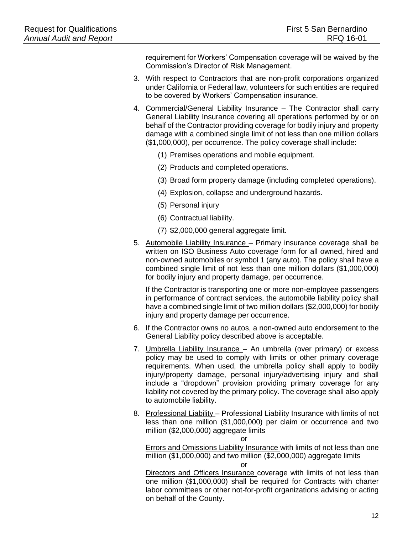requirement for Workers' Compensation coverage will be waived by the Commission's Director of Risk Management.

- 3. With respect to Contractors that are non-profit corporations organized under California or Federal law, volunteers for such entities are required to be covered by Workers' Compensation insurance.
- 4. Commercial/General Liability Insurance The Contractor shall carry General Liability Insurance covering all operations performed by or on behalf of the Contractor providing coverage for bodily injury and property damage with a combined single limit of not less than one million dollars (\$1,000,000), per occurrence. The policy coverage shall include:
	- (1) Premises operations and mobile equipment.
	- (2) Products and completed operations.
	- (3) Broad form property damage (including completed operations).
	- (4) Explosion, collapse and underground hazards.
	- (5) Personal injury
	- (6) Contractual liability.
	- (7) \$2,000,000 general aggregate limit.
- 5. Automobile Liability Insurance Primary insurance coverage shall be written on ISO Business Auto coverage form for all owned, hired and non-owned automobiles or symbol 1 (any auto). The policy shall have a combined single limit of not less than one million dollars (\$1,000,000) for bodily injury and property damage, per occurrence.

If the Contractor is transporting one or more non-employee passengers in performance of contract services, the automobile liability policy shall have a combined single limit of two million dollars (\$2,000,000) for bodily injury and property damage per occurrence.

- 6. If the Contractor owns no autos, a non-owned auto endorsement to the General Liability policy described above is acceptable.
- 7. Umbrella Liability Insurance An umbrella (over primary) or excess policy may be used to comply with limits or other primary coverage requirements. When used, the umbrella policy shall apply to bodily injury/property damage, personal injury/advertising injury and shall include a "dropdown" provision providing primary coverage for any liability not covered by the primary policy. The coverage shall also apply to automobile liability.
- 8. Professional Liability Professional Liability Insurance with limits of not less than one million (\$1,000,000) per claim or occurrence and two million (\$2,000,000) aggregate limits

or

Errors and Omissions Liability Insurance with limits of not less than one million (\$1,000,000) and two million (\$2,000,000) aggregate limits

or

Directors and Officers Insurance coverage with limits of not less than one million (\$1,000,000) shall be required for Contracts with charter labor committees or other not-for-profit organizations advising or acting on behalf of the County.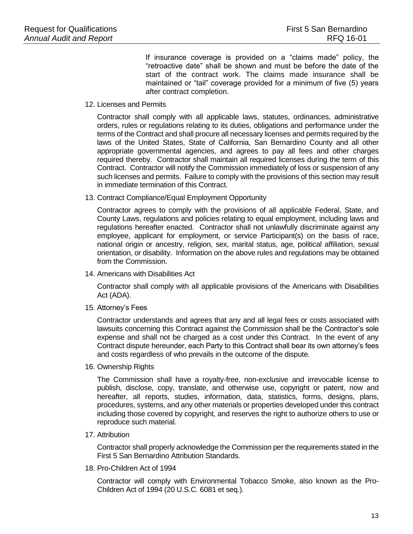If insurance coverage is provided on a "claims made" policy, the "retroactive date" shall be shown and must be before the date of the start of the contract work. The claims made insurance shall be maintained or "tail" coverage provided for a minimum of five (5) years after contract completion.

12. Licenses and Permits

Contractor shall comply with all applicable laws, statutes, ordinances, administrative orders, rules or regulations relating to its duties, obligations and performance under the terms of the Contract and shall procure all necessary licenses and permits required by the laws of the United States, State of California, San Bernardino County and all other appropriate governmental agencies, and agrees to pay all fees and other charges required thereby. Contractor shall maintain all required licenses during the term of this Contract. Contractor will notify the Commission immediately of loss or suspension of any such licenses and permits. Failure to comply with the provisions of this section may result in immediate termination of this Contract.

13. Contract Compliance/Equal Employment Opportunity

Contractor agrees to comply with the provisions of all applicable Federal, State, and County Laws, regulations and policies relating to equal employment, including laws and regulations hereafter enacted. Contractor shall not unlawfully discriminate against any employee, applicant for employment, or service Participant(s) on the basis of race, national origin or ancestry, religion, sex, marital status, age, political affiliation, sexual orientation, or disability. Information on the above rules and regulations may be obtained from the Commission.

14. Americans with Disabilities Act

Contractor shall comply with all applicable provisions of the Americans with Disabilities Act (ADA).

15. Attorney's Fees

Contractor understands and agrees that any and all legal fees or costs associated with lawsuits concerning this Contract against the Commission shall be the Contractor's sole expense and shall not be charged as a cost under this Contract. In the event of any Contract dispute hereunder, each Party to this Contract shall bear its own attorney's fees and costs regardless of who prevails in the outcome of the dispute.

16. Ownership Rights

The Commission shall have a royalty-free, non-exclusive and irrevocable license to publish, disclose, copy, translate, and otherwise use, copyright or patent, now and hereafter, all reports, studies, information, data, statistics, forms, designs, plans, procedures, systems, and any other materials or properties developed under this contract including those covered by copyright, and reserves the right to authorize others to use or reproduce such material*.* 

17. Attribution

Contractor shall properly acknowledge the Commission per the requirements stated in the First 5 San Bernardino Attribution Standards.

18. Pro-Children Act of 1994

Contractor will comply with Environmental Tobacco Smoke, also known as the Pro-Children Act of 1994 (20 U.S.C. 6081 et seq.).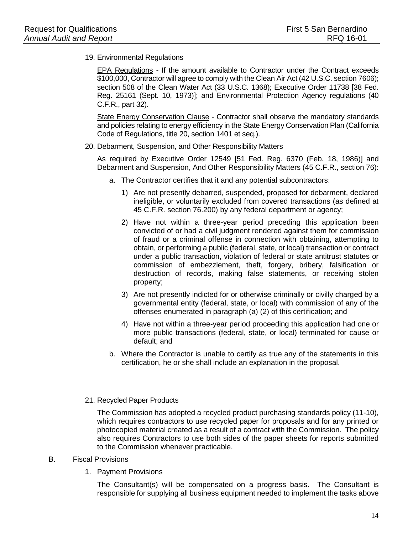19. Environmental Regulations

EPA Regulations - If the amount available to Contractor under the Contract exceeds \$100,000, Contractor will agree to comply with the Clean Air Act (42 U.S.C. section 7606); section 508 of the Clean Water Act (33 U.S.C. 1368); Executive Order 11738 [38 Fed. Reg. 25161 (Sept. 10, 1973)]; and Environmental Protection Agency regulations (40 C.F.R., part 32).

State Energy Conservation Clause - Contractor shall observe the mandatory standards and policies relating to energy efficiency in the State Energy Conservation Plan (California Code of Regulations, title 20, section 1401 et seq.).

20. Debarment, Suspension, and Other Responsibility Matters

As required by Executive Order 12549 [51 Fed. Reg. 6370 (Feb. 18, 1986)] and Debarment and Suspension, And Other Responsibility Matters (45 C.F.R., section 76):

- a. The Contractor certifies that it and any potential subcontractors:
	- 1) Are not presently debarred, suspended, proposed for debarment, declared ineligible, or voluntarily excluded from covered transactions (as defined at 45 C.F.R. section 76.200) by any federal department or agency;
	- 2) Have not within a three-year period preceding this application been convicted of or had a civil judgment rendered against them for commission of fraud or a criminal offense in connection with obtaining, attempting to obtain, or performing a public (federal, state, or local) transaction or contract under a public transaction, violation of federal or state antitrust statutes or commission of embezzlement, theft, forgery, bribery, falsification or destruction of records, making false statements, or receiving stolen property;
	- 3) Are not presently indicted for or otherwise criminally or civilly charged by a governmental entity (federal, state, or local) with commission of any of the offenses enumerated in paragraph (a) (2) of this certification; and
	- 4) Have not within a three-year period proceeding this application had one or more public transactions (federal, state, or local) terminated for cause or default; and
- b. Where the Contractor is unable to certify as true any of the statements in this certification, he or she shall include an explanation in the proposal.
- 21. Recycled Paper Products

The Commission has adopted a recycled product purchasing standards policy (11-10), which requires contractors to use recycled paper for proposals and for any printed or photocopied material created as a result of a contract with the Commission. The policy also requires Contractors to use both sides of the paper sheets for reports submitted to the Commission whenever practicable.

- B. Fiscal Provisions
	- 1. Payment Provisions

The Consultant(s) will be compensated on a progress basis. The Consultant is responsible for supplying all business equipment needed to implement the tasks above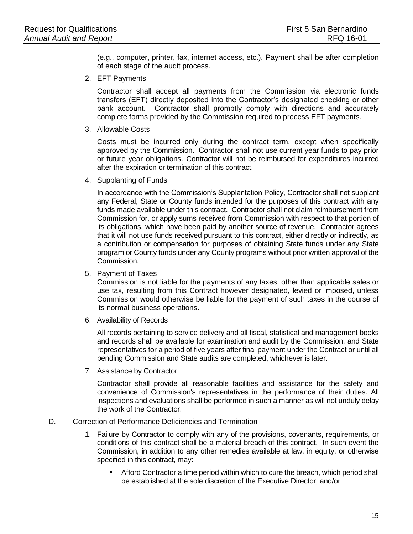(e.g., computer, printer, fax, internet access, etc.). Payment shall be after completion of each stage of the audit process.

2. EFT Payments

Contractor shall accept all payments from the Commission via electronic funds transfers (EFT) directly deposited into the Contractor's designated checking or other bank account. Contractor shall promptly comply with directions and accurately complete forms provided by the Commission required to process EFT payments.

3. Allowable Costs

Costs must be incurred only during the contract term, except when specifically approved by the Commission. Contractor shall not use current year funds to pay prior or future year obligations. Contractor will not be reimbursed for expenditures incurred after the expiration or termination of this contract.

4. Supplanting of Funds

In accordance with the Commission's Supplantation Policy, Contractor shall not supplant any Federal, State or County funds intended for the purposes of this contract with any funds made available under this contract. Contractor shall not claim reimbursement from Commission for, or apply sums received from Commission with respect to that portion of its obligations, which have been paid by another source of revenue. Contractor agrees that it will not use funds received pursuant to this contract, either directly or indirectly, as a contribution or compensation for purposes of obtaining State funds under any State program or County funds under any County programs without prior written approval of the Commission.

5. Payment of Taxes

Commission is not liable for the payments of any taxes, other than applicable sales or use tax, resulting from this Contract however designated, levied or imposed, unless Commission would otherwise be liable for the payment of such taxes in the course of its normal business operations.

6. Availability of Records

All records pertaining to service delivery and all fiscal, statistical and management books and records shall be available for examination and audit by the Commission, and State representatives for a period of five years after final payment under the Contract or until all pending Commission and State audits are completed, whichever is later.

7. Assistance by Contractor

Contractor shall provide all reasonable facilities and assistance for the safety and convenience of Commission's representatives in the performance of their duties. All inspections and evaluations shall be performed in such a manner as will not unduly delay the work of the Contractor.

- D. Correction of Performance Deficiencies and Termination
	- 1. Failure by Contractor to comply with any of the provisions, covenants, requirements, or conditions of this contract shall be a material breach of this contract. In such event the Commission, in addition to any other remedies available at law, in equity, or otherwise specified in this contract, may:
		- Afford Contractor a time period within which to cure the breach, which period shall be established at the sole discretion of the Executive Director; and/or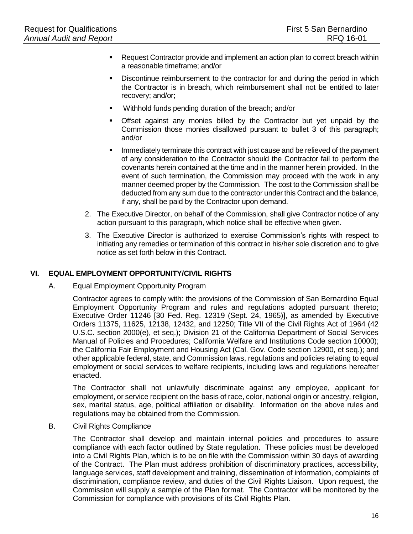- Request Contractor provide and implement an action plan to correct breach within a reasonable timeframe; and/or
- Discontinue reimbursement to the contractor for and during the period in which the Contractor is in breach, which reimbursement shall not be entitled to later recovery; and/or;
- Withhold funds pending duration of the breach; and/or
- Offset against any monies billed by the Contractor but yet unpaid by the Commission those monies disallowed pursuant to bullet 3 of this paragraph; and/or
- Immediately terminate this contract with just cause and be relieved of the payment of any consideration to the Contractor should the Contractor fail to perform the covenants herein contained at the time and in the manner herein provided. In the event of such termination, the Commission may proceed with the work in any manner deemed proper by the Commission. The cost to the Commission shall be deducted from any sum due to the contractor under this Contract and the balance, if any, shall be paid by the Contractor upon demand.
- 2. The Executive Director, on behalf of the Commission, shall give Contractor notice of any action pursuant to this paragraph, which notice shall be effective when given.
- 3. The Executive Director is authorized to exercise Commission's rights with respect to initiating any remedies or termination of this contract in his/her sole discretion and to give notice as set forth below in this Contract.

# **VI. EQUAL EMPLOYMENT OPPORTUNITY/CIVIL RIGHTS**

A. Equal Employment Opportunity Program

Contractor agrees to comply with: the provisions of the Commission of San Bernardino Equal Employment Opportunity Program and rules and regulations adopted pursuant thereto; Executive Order 11246 [30 Fed. Reg. 12319 (Sept. 24, 1965)], as amended by Executive Orders 11375, 11625, 12138, 12432, and 12250; Title VII of the Civil Rights Act of 1964 (42 U.S.C. section 2000(e), et seq.); Division 21 of the California Department of Social Services Manual of Policies and Procedures; California Welfare and Institutions Code section 10000); the California Fair Employment and Housing Act (Cal. Gov. Code section 12900, et seq.); and other applicable federal, state, and Commission laws, regulations and policies relating to equal employment or social services to welfare recipients, including laws and regulations hereafter enacted.

The Contractor shall not unlawfully discriminate against any employee, applicant for employment, or service recipient on the basis of race, color, national origin or ancestry, religion, sex, marital status, age, political affiliation or disability. Information on the above rules and regulations may be obtained from the Commission.

B. Civil Rights Compliance

The Contractor shall develop and maintain internal policies and procedures to assure compliance with each factor outlined by State regulation. These policies must be developed into a Civil Rights Plan, which is to be on file with the Commission within 30 days of awarding of the Contract. The Plan must address prohibition of discriminatory practices, accessibility, language services, staff development and training, dissemination of information, complaints of discrimination, compliance review, and duties of the Civil Rights Liaison. Upon request, the Commission will supply a sample of the Plan format. The Contractor will be monitored by the Commission for compliance with provisions of its Civil Rights Plan.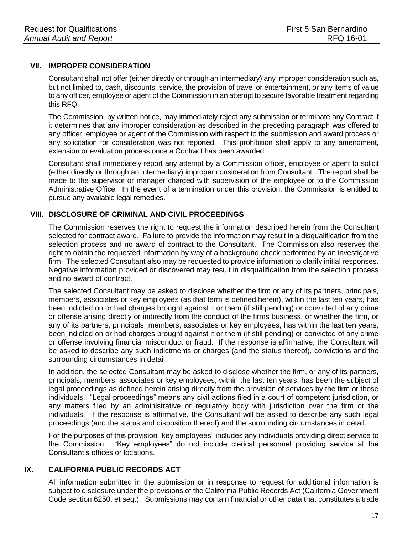# **VII. IMPROPER CONSIDERATION**

Consultant shall not offer (either directly or through an intermediary) any improper consideration such as, but not limited to, cash, discounts, service, the provision of travel or entertainment, or any items of value to any officer, employee or agent of the Commission in an attempt to secure favorable treatment regarding this RFQ.

The Commission, by written notice, may immediately reject any submission or terminate any Contract if it determines that any improper consideration as described in the preceding paragraph was offered to any officer, employee or agent of the Commission with respect to the submission and award process or any solicitation for consideration was not reported. This prohibition shall apply to any amendment, extension or evaluation process once a Contract has been awarded.

Consultant shall immediately report any attempt by a Commission officer, employee or agent to solicit (either directly or through an intermediary) improper consideration from Consultant. The report shall be made to the supervisor or manager charged with supervision of the employee or to the Commission Administrative Office. In the event of a termination under this provision, the Commission is entitled to pursue any available legal remedies.

# **VIII. DISCLOSURE OF CRIMINAL AND CIVIL PROCEEDINGS**

The Commission reserves the right to request the information described herein from the Consultant selected for contract award. Failure to provide the information may result in a disqualification from the selection process and no award of contract to the Consultant. The Commission also reserves the right to obtain the requested information by way of a background check performed by an investigative firm. The selected Consultant also may be requested to provide information to clarify initial responses. Negative information provided or discovered may result in disqualification from the selection process and no award of contract.

The selected Consultant may be asked to disclose whether the firm or any of its partners, principals, members, associates or key employees (as that term is defined herein), within the last ten years, has been indicted on or had charges brought against it or them (if still pending) or convicted of any crime or offense arising directly or indirectly from the conduct of the firms business, or whether the firm, or any of its partners, principals, members, associates or key employees, has within the last ten years, been indicted on or had charges brought against it or them (if still pending) or convicted of any crime or offense involving financial misconduct or fraud. If the response is affirmative, the Consultant will be asked to describe any such indictments or charges (and the status thereof), convictions and the surrounding circumstances in detail.

In addition, the selected Consultant may be asked to disclose whether the firm, or any of its partners, principals, members, associates or key employees, within the last ten years, has been the subject of legal proceedings as defined herein arising directly from the provision of services by the firm or those individuals. "Legal proceedings" means any civil actions filed in a court of competent jurisdiction, or any matters filed by an administrative or regulatory body with jurisdiction over the firm or the individuals. If the response is affirmative, the Consultant will be asked to describe any such legal proceedings (and the status and disposition thereof) and the surrounding circumstances in detail.

For the purposes of this provision "key employees" includes any individuals providing direct service to the Commission. "Key employees" do not include clerical personnel providing service at the Consultant's offices or locations.

# **IX. CALIFORNIA PUBLIC RECORDS ACT**

All information submitted in the submission or in response to request for additional information is subject to disclosure under the provisions of the California Public Records Act (California Government Code section 6250, et seq.). Submissions may contain financial or other data that constitutes a trade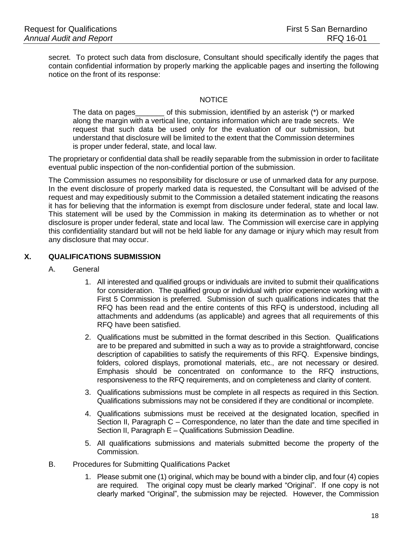secret. To protect such data from disclosure, Consultant should specifically identify the pages that contain confidential information by properly marking the applicable pages and inserting the following notice on the front of its response:

# **NOTICE**

The data on pages  $\qquad \qquad$  of this submission, identified by an asterisk (\*) or marked along the margin with a vertical line, contains information which are trade secrets. We request that such data be used only for the evaluation of our submission, but understand that disclosure will be limited to the extent that the Commission determines is proper under federal, state, and local law.

The proprietary or confidential data shall be readily separable from the submission in order to facilitate eventual public inspection of the non-confidential portion of the submission.

The Commission assumes no responsibility for disclosure or use of unmarked data for any purpose. In the event disclosure of properly marked data is requested, the Consultant will be advised of the request and may expeditiously submit to the Commission a detailed statement indicating the reasons it has for believing that the information is exempt from disclosure under federal, state and local law. This statement will be used by the Commission in making its determination as to whether or not disclosure is proper under federal, state and local law. The Commission will exercise care in applying this confidentiality standard but will not be held liable for any damage or injury which may result from any disclosure that may occur.

# **X. QUALIFICATIONS SUBMISSION**

- A. General
	- 1. All interested and qualified groups or individuals are invited to submit their qualifications for consideration. The qualified group or individual with prior experience working with a First 5 Commission is preferred. Submission of such qualifications indicates that the RFQ has been read and the entire contents of this RFQ is understood, including all attachments and addendums (as applicable) and agrees that all requirements of this RFQ have been satisfied.
	- 2. Qualifications must be submitted in the format described in this Section. Qualifications are to be prepared and submitted in such a way as to provide a straightforward, concise description of capabilities to satisfy the requirements of this RFQ. Expensive bindings, folders, colored displays, promotional materials, etc., are not necessary or desired. Emphasis should be concentrated on conformance to the RFQ instructions, responsiveness to the RFQ requirements, and on completeness and clarity of content.
	- 3. Qualifications submissions must be complete in all respects as required in this Section. Qualifications submissions may not be considered if they are conditional or incomplete.
	- 4. Qualifications submissions must be received at the designated location, specified in Section II, Paragraph C – Correspondence, no later than the date and time specified in Section II, Paragraph E – Qualifications Submission Deadline.
	- 5. All qualifications submissions and materials submitted become the property of the Commission.
- B. Procedures for Submitting Qualifications Packet
	- 1. Please submit one (1) original, which may be bound with a binder clip, and four (4) copies are required. The original copy must be clearly marked "Original". If one copy is not clearly marked "Original", the submission may be rejected. However, the Commission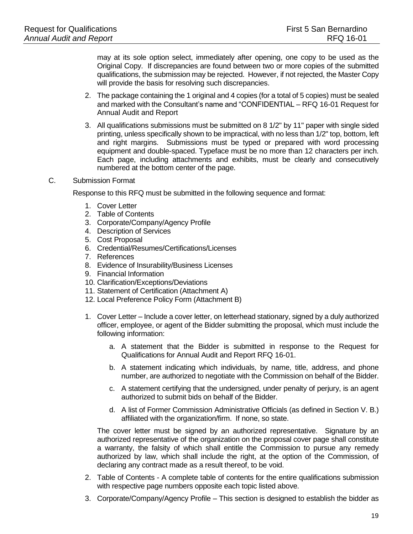may at its sole option select, immediately after opening, one copy to be used as the Original Copy. If discrepancies are found between two or more copies of the submitted qualifications, the submission may be rejected. However, if not rejected, the Master Copy will provide the basis for resolving such discrepancies.

- 2. The package containing the 1 original and 4 copies (for a total of 5 copies) must be sealed and marked with the Consultant's name and "CONFIDENTIAL – RFQ 16-01 Request for Annual Audit and Report
- 3. All qualifications submissions must be submitted on 8 1/2" by 11" paper with single sided printing, unless specifically shown to be impractical, with no less than 1/2" top, bottom, left and right margins. Submissions must be typed or prepared with word processing equipment and double-spaced. Typeface must be no more than 12 characters per inch. Each page, including attachments and exhibits, must be clearly and consecutively numbered at the bottom center of the page.
- C. Submission Format

Response to this RFQ must be submitted in the following sequence and format:

- 1. Cover Letter
- 2. Table of Contents
- 3. Corporate/Company/Agency Profile
- 4. Description of Services
- 5. Cost Proposal
- 6. Credential/Resumes/Certifications/Licenses
- 7. References
- 8. Evidence of Insurability/Business Licenses
- 9. Financial Information
- 10. Clarification/Exceptions/Deviations
- 11. Statement of Certification (Attachment A)
- 12. Local Preference Policy Form (Attachment B)
- 1. Cover Letter Include a cover letter, on letterhead stationary, signed by a duly authorized officer, employee, or agent of the Bidder submitting the proposal, which must include the following information:
	- a. A statement that the Bidder is submitted in response to the Request for Qualifications for Annual Audit and Report RFQ 16-01.
	- b. A statement indicating which individuals, by name, title, address, and phone number, are authorized to negotiate with the Commission on behalf of the Bidder.
	- c. A statement certifying that the undersigned, under penalty of perjury, is an agent authorized to submit bids on behalf of the Bidder.
	- d. A list of Former Commission Administrative Officials (as defined in Section V. B.) affiliated with the organization/firm. If none, so state.

The cover letter must be signed by an authorized representative. Signature by an authorized representative of the organization on the proposal cover page shall constitute a warranty, the falsity of which shall entitle the Commission to pursue any remedy authorized by law, which shall include the right, at the option of the Commission, of declaring any contract made as a result thereof, to be void.

- 2. Table of Contents A complete table of contents for the entire qualifications submission with respective page numbers opposite each topic listed above.
- 3. Corporate/Company/Agency Profile This section is designed to establish the bidder as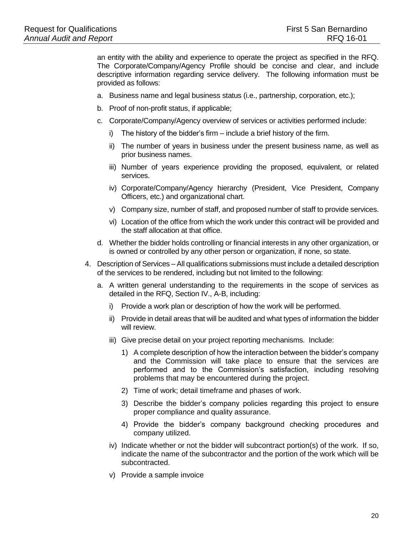an entity with the ability and experience to operate the project as specified in the RFQ. The Corporate/Company/Agency Profile should be concise and clear, and include descriptive information regarding service delivery. The following information must be provided as follows:

- a. Business name and legal business status (i.e., partnership, corporation, etc.);
- b. Proof of non-profit status, if applicable;
- c. Corporate/Company/Agency overview of services or activities performed include:
	- i) The history of the bidder's firm include a brief history of the firm.
	- ii) The number of years in business under the present business name, as well as prior business names.
	- iii) Number of years experience providing the proposed, equivalent, or related services.
	- iv) Corporate/Company/Agency hierarchy (President, Vice President, Company Officers, etc.) and organizational chart.
	- v) Company size, number of staff, and proposed number of staff to provide services.
	- vi) Location of the office from which the work under this contract will be provided and the staff allocation at that office.
- d. Whether the bidder holds controlling or financial interests in any other organization, or is owned or controlled by any other person or organization, if none, so state.
- 4. Description of Services All qualifications submissions must include a detailed description of the services to be rendered, including but not limited to the following:
	- a. A written general understanding to the requirements in the scope of services as detailed in the RFQ, Section IV., A-B, including:
		- i) Provide a work plan or description of how the work will be performed.
		- ii) Provide in detail areas that will be audited and what types of information the bidder will review.
		- iii) Give precise detail on your project reporting mechanisms. Include:
			- 1) A complete description of how the interaction between the bidder's company and the Commission will take place to ensure that the services are performed and to the Commission's satisfaction, including resolving problems that may be encountered during the project.
			- 2) Time of work; detail timeframe and phases of work.
			- 3) Describe the bidder's company policies regarding this project to ensure proper compliance and quality assurance.
			- 4) Provide the bidder's company background checking procedures and company utilized.
		- iv) Indicate whether or not the bidder will subcontract portion(s) of the work. If so, indicate the name of the subcontractor and the portion of the work which will be subcontracted.
		- v) Provide a sample invoice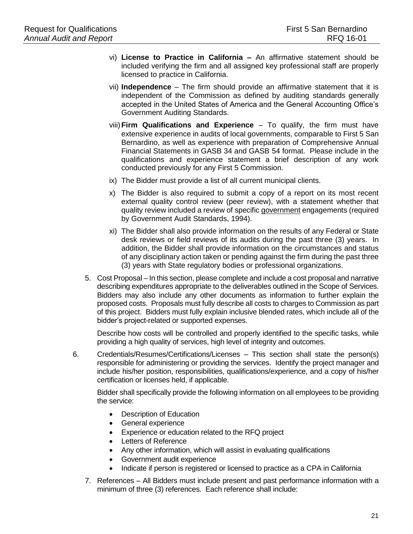- vi) **License to Practice in California –** An affirmative statement should be included verifying the firm and all assigned key professional staff are properly licensed to practice in California.
- vii) **Independence**  The firm should provide an affirmative statement that it is independent of the Commission as defined by auditing standards generally accepted in the United States of America and the General Accounting Office's Government Auditing Standards.
- viii)**Firm Qualifications and Experience** To qualify, the firm must have extensive experience in audits of local governments, comparable to First 5 San Bernardino, as well as experience with preparation of Comprehensive Annual Financial Statements in GASB 34 and GASB 54 format. Please include in the qualifications and experience statement a brief description of any work conducted previously for any First 5 Commission.
- ix) The Bidder must provide a list of all current municipal clients.
- x) The Bidder is also required to submit a copy of a report on its most recent external quality control review (peer review), with a statement whether that quality review included a review of specific government engagements (required by Government Audit Standards, 1994).
- xi) The Bidder shall also provide information on the results of any Federal or State desk reviews or field reviews of its audits during the past three (3) years. In addition, the Bidder shall provide information on the circumstances and status of any disciplinary action taken or pending against the firm during the past three (3) years with State regulatory bodies or professional organizations.
- 5. Cost Proposal In this section, please complete and include a cost proposal and narrative describing expenditures appropriate to the deliverables outlined in the Scope of Services. Bidders may also include any other documents as information to further explain the proposed costs. Proposals must fully describe all costs to charges to Commission as part of this project. Bidders must fully explain inclusive blended rates, which include all of the bidder's project-related or supported expenses.

Describe how costs will be controlled and properly identified to the specific tasks, while providing a high quality of services, high level of integrity and outcomes.

6. Credentials/Resumes/Certifications/Licenses – This section shall state the person(s) responsible for administering or providing the services. Identify the project manager and include his/her position, responsibilities, qualifications/experience, and a copy of his/her certification or licenses held, if applicable.

Bidder shall specifically provide the following information on all employees to be providing the service:

- Description of Education
- General experience
- Experience or education related to the RFQ project
- Letters of Reference
- Any other information, which will assist in evaluating qualifications
- Government audit experience
- Indicate if person is registered or licensed to practice as a CPA in California
- 7. References All Bidders must include present and past performance information with a minimum of three (3) references. Each reference shall include: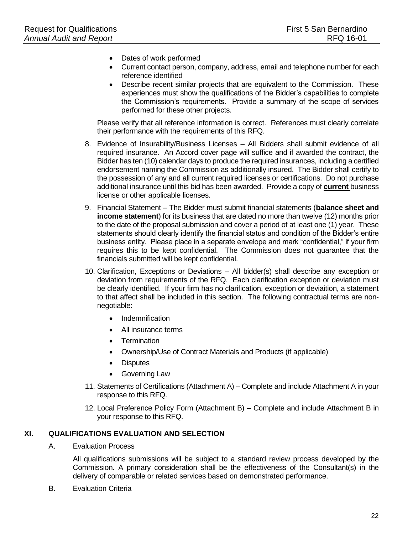- Dates of work performed
- Current contact person, company, address, email and telephone number for each reference identified
- Describe recent similar projects that are equivalent to the Commission. These experiences must show the qualifications of the Bidder's capabilities to complete the Commission's requirements. Provide a summary of the scope of services performed for these other projects.

Please verify that all reference information is correct. References must clearly correlate their performance with the requirements of this RFQ.

- 8. Evidence of Insurability/Business Licenses All Bidders shall submit evidence of all required insurance. An Accord cover page will suffice and if awarded the contract, the Bidder has ten (10) calendar days to produce the required insurances, including a certified endorsement naming the Commission as additionally insured. The Bidder shall certify to the possession of any and all current required licenses or certifications. Do not purchase additional insurance until this bid has been awarded. Provide a copy of **current** business license or other applicable licenses.
- 9. Financial Statement The Bidder must submit financial statements (**balance sheet and income statement**) for its business that are dated no more than twelve (12) months prior to the date of the proposal submission and cover a period of at least one (1) year. These statements should clearly identify the financial status and condition of the Bidder's entire business entity. Please place in a separate envelope and mark "confidential," if your firm requires this to be kept confidential. The Commission does not guarantee that the financials submitted will be kept confidential.
- 10. Clarification, Exceptions or Deviations All bidder(s) shall describe any exception or deviation from requirements of the RFQ. Each clarification exception or deviation must be clearly identified. If your firm has no clarification, exception or deviaition, a statement to that affect shall be included in this section. The following contractual terms are nonnegotiable:
	- Indemnification
	- All insurance terms
	- Termination
	- Ownership/Use of Contract Materials and Products (if applicable)
	- Disputes
	- Governing Law
- 11. Statements of Certifications (Attachment A) Complete and include Attachment A in your response to this RFQ.
- 12. Local Preference Policy Form (Attachment B) Complete and include Attachment B in your response to this RFQ.

# **XI. QUALIFICATIONS EVALUATION AND SELECTION**

A. Evaluation Process

All qualifications submissions will be subject to a standard review process developed by the Commission. A primary consideration shall be the effectiveness of the Consultant(s) in the delivery of comparable or related services based on demonstrated performance.

B. Evaluation Criteria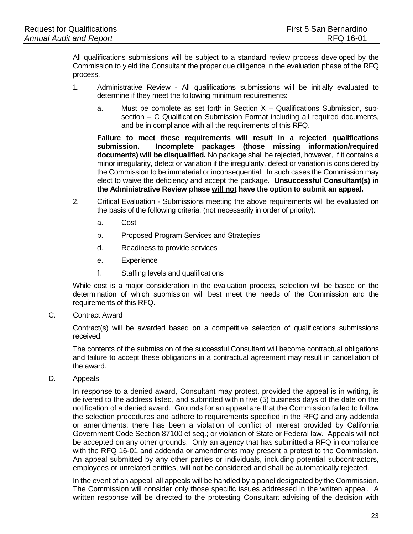All qualifications submissions will be subject to a standard review process developed by the Commission to yield the Consultant the proper due diligence in the evaluation phase of the RFQ process.

- 1. Administrative Review All qualifications submissions will be initially evaluated to determine if they meet the following minimum requirements:
	- a. Must be complete as set forth in Section  $X Q$ ualifications Submission, subsection – C Qualification Submission Format including all required documents, and be in compliance with all the requirements of this RFQ.

**Failure to meet these requirements will result in a rejected qualifications submission. Incomplete packages (those missing information/required documents) will be disqualified.** No package shall be rejected, however, if it contains a minor irregularity, defect or variation if the irregularity, defect or variation is considered by the Commission to be immaterial or inconsequential. In such cases the Commission may elect to waive the deficiency and accept the package. **Unsuccessful Consultant(s) in the Administrative Review phase will not have the option to submit an appeal.**

- 2. Critical Evaluation Submissions meeting the above requirements will be evaluated on the basis of the following criteria, (not necessarily in order of priority):
	- a. Cost
	- b. Proposed Program Services and Strategies
	- d. Readiness to provide services
	- e. Experience
	- f. Staffing levels and qualifications

While cost is a major consideration in the evaluation process, selection will be based on the determination of which submission will best meet the needs of the Commission and the requirements of this RFQ.

C. Contract Award

Contract(s) will be awarded based on a competitive selection of qualifications submissions received.

The contents of the submission of the successful Consultant will become contractual obligations and failure to accept these obligations in a contractual agreement may result in cancellation of the award.

D. Appeals

In response to a denied award, Consultant may protest, provided the appeal is in writing, is delivered to the address listed, and submitted within five (5) business days of the date on the notification of a denied award. Grounds for an appeal are that the Commission failed to follow the selection procedures and adhere to requirements specified in the RFQ and any addenda or amendments; there has been a violation of conflict of interest provided by California Government Code Section 87100 et seq.; or violation of State or Federal law. Appeals will not be accepted on any other grounds. Only an agency that has submitted a RFQ in compliance with the RFQ 16-01 and addenda or amendments may present a protest to the Commission. An appeal submitted by any other parties or individuals, including potential subcontractors, employees or unrelated entities, will not be considered and shall be automatically rejected.

In the event of an appeal, all appeals will be handled by a panel designated by the Commission. The Commission will consider only those specific issues addressed in the written appeal. A written response will be directed to the protesting Consultant advising of the decision with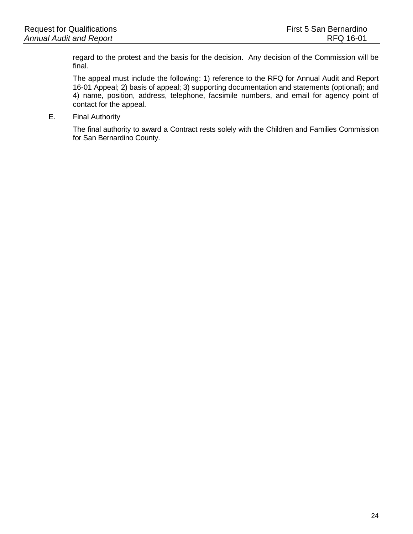regard to the protest and the basis for the decision. Any decision of the Commission will be final.

The appeal must include the following: 1) reference to the RFQ for Annual Audit and Report 16-01 Appeal; 2) basis of appeal; 3) supporting documentation and statements (optional); and 4) name, position, address, telephone, facsimile numbers, and email for agency point of contact for the appeal.

E. Final Authority

The final authority to award a Contract rests solely with the Children and Families Commission for San Bernardino County.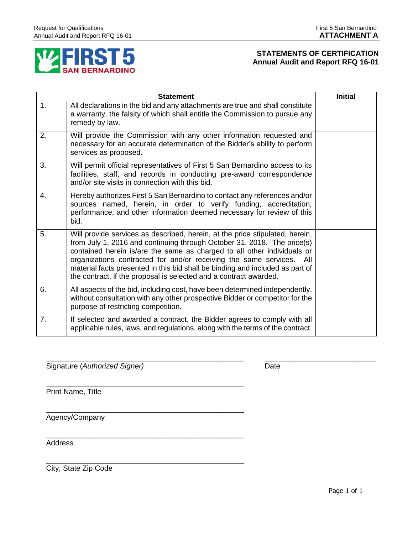

# **STATEMENTS OF CERTIFICATION Annual Audit and Report RFQ 16-01**

|    | <b>Statement</b>                                                                                                                                                                                                                                                                                                                                                                                                                                                    | <b>Initial</b> |
|----|---------------------------------------------------------------------------------------------------------------------------------------------------------------------------------------------------------------------------------------------------------------------------------------------------------------------------------------------------------------------------------------------------------------------------------------------------------------------|----------------|
| 1. | All declarations in the bid and any attachments are true and shall constitute<br>a warranty, the falsity of which shall entitle the Commission to pursue any<br>remedy by law.                                                                                                                                                                                                                                                                                      |                |
| 2. | Will provide the Commission with any other information requested and<br>necessary for an accurate determination of the Bidder's ability to perform<br>services as proposed.                                                                                                                                                                                                                                                                                         |                |
| 3. | Will permit official representatives of First 5 San Bernardino access to its<br>facilities, staff, and records in conducting pre-award correspondence<br>and/or site visits in connection with this bid.                                                                                                                                                                                                                                                            |                |
| 4. | Hereby authorizes First 5 San Bernardino to contact any references and/or<br>sources named, herein, in order to verify funding, accreditation,<br>performance, and other information deemed necessary for review of this<br>bid.                                                                                                                                                                                                                                    |                |
| 5. | Will provide services as described, herein, at the price stipulated, herein,<br>from July 1, 2016 and continuing through October 31, 2018. The price(s)<br>contained herein is/are the same as charged to all other individuals or<br>organizations contracted for and/or receiving the same services.<br>All<br>material facts presented in this bid shall be binding and included as part of<br>the contract, if the proposal is selected and a contract awarded. |                |
| 6. | All aspects of the bid, including cost, have been determined independently,<br>without consultation with any other prospective Bidder or competitor for the<br>purpose of restricting competition.                                                                                                                                                                                                                                                                  |                |
| 7. | If selected and awarded a contract, the Bidder agrees to comply with all<br>applicable rules, laws, and regulations, along with the terms of the contract.                                                                                                                                                                                                                                                                                                          |                |

Signature (Authorized Signer) Date

\_\_\_\_\_\_\_\_\_\_\_\_\_\_\_\_\_\_\_\_\_\_\_\_\_\_\_\_\_\_\_\_\_\_\_\_\_\_\_\_\_\_\_\_\_\_\_\_

\_\_\_\_\_\_\_\_\_\_\_\_\_\_\_\_\_\_\_\_\_\_\_\_\_\_\_\_\_\_\_\_\_\_\_\_\_\_\_\_\_\_\_\_\_\_\_\_ \_\_\_\_\_\_\_\_\_\_\_\_\_\_\_\_\_\_\_\_\_\_\_\_\_\_\_

\_\_\_\_\_\_\_\_\_\_\_\_\_\_\_\_\_\_\_\_\_\_\_\_\_\_\_\_\_\_\_\_\_\_\_\_\_\_\_\_\_\_\_\_\_\_\_\_ Print Name, Title

\_\_\_\_\_\_\_\_\_\_\_\_\_\_\_\_\_\_\_\_\_\_\_\_\_\_\_\_\_\_\_\_\_\_\_\_\_\_\_\_\_\_\_\_\_\_\_\_ Agency/Company

Address

\_\_\_\_\_\_\_\_\_\_\_\_\_\_\_\_\_\_\_\_\_\_\_\_\_\_\_\_\_\_\_\_\_\_\_\_\_\_\_\_\_\_\_\_\_\_\_\_ City, State Zip Code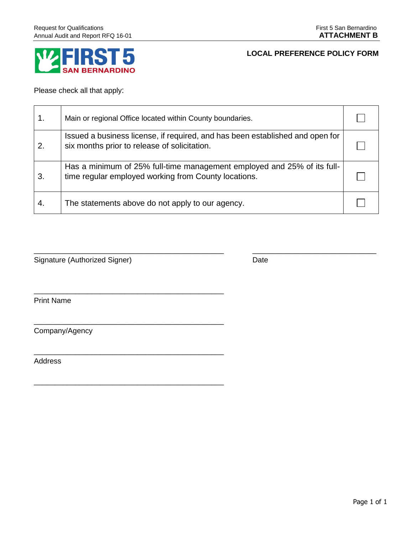

# **LOCAL PREFERENCE POLICY FORM**

Please check all that apply:

| 1. | Main or regional Office located within County boundaries.                                                                       |  |
|----|---------------------------------------------------------------------------------------------------------------------------------|--|
| 2. | Issued a business license, if required, and has been established and open for<br>six months prior to release of solicitation.   |  |
| 3. | Has a minimum of 25% full-time management employed and 25% of its full-<br>time regular employed working from County locations. |  |
| 4. | The statements above do not apply to our agency.                                                                                |  |

\_\_\_\_\_\_\_\_\_\_\_\_\_\_\_\_\_\_\_\_\_\_\_\_\_\_\_\_\_\_\_\_\_\_\_\_\_\_\_\_\_\_\_\_\_\_ \_\_\_\_\_\_\_\_\_\_\_\_\_\_\_\_\_\_\_\_\_\_\_\_\_\_\_\_\_\_

| Signature (Authorized Signer) | Date |
|-------------------------------|------|
|                               |      |

\_\_\_\_\_\_\_\_\_\_\_\_\_\_\_\_\_\_\_\_\_\_\_\_\_\_\_\_\_\_\_\_\_\_\_\_\_\_\_\_\_\_\_\_\_\_

\_\_\_\_\_\_\_\_\_\_\_\_\_\_\_\_\_\_\_\_\_\_\_\_\_\_\_\_\_\_\_\_\_\_\_\_\_\_\_\_\_\_\_\_\_\_

\_\_\_\_\_\_\_\_\_\_\_\_\_\_\_\_\_\_\_\_\_\_\_\_\_\_\_\_\_\_\_\_\_\_\_\_\_\_\_\_\_\_\_\_\_\_

\_\_\_\_\_\_\_\_\_\_\_\_\_\_\_\_\_\_\_\_\_\_\_\_\_\_\_\_\_\_\_\_\_\_\_\_\_\_\_\_\_\_\_\_\_\_

Print Name

Company/Agency

Address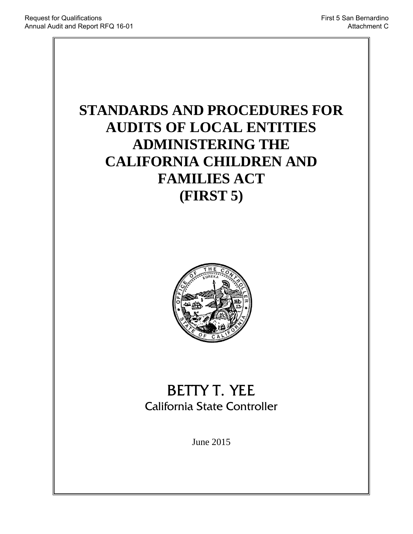# **STANDARDS AND PROCEDURES FOR AUDITS OF LOCAL ENTITIES ADMINISTERING THE CALIFORNIA CHILDREN AND FAMILIES ACT (FIRST 5)**



# BETTY T. YEE California State Controller

June 2015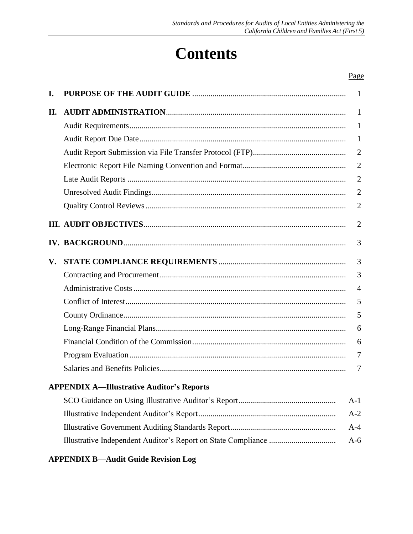# **Contents**

<span id="page-30-0"></span>

| I.  |                                                  | 1              |
|-----|--------------------------------------------------|----------------|
| II. |                                                  | $\mathbf{1}$   |
|     |                                                  | $\mathbf{1}$   |
|     |                                                  | $\mathbf{1}$   |
|     |                                                  | $\overline{2}$ |
|     |                                                  | $\overline{2}$ |
|     |                                                  | $\overline{2}$ |
|     |                                                  | $\overline{2}$ |
|     |                                                  | $\overline{2}$ |
|     |                                                  | $\overline{2}$ |
|     |                                                  | 3              |
| V.  |                                                  | 3              |
|     |                                                  | 3              |
|     |                                                  | $\overline{4}$ |
|     |                                                  | 5              |
|     |                                                  | 5              |
|     |                                                  | 6              |
|     |                                                  | 6              |
|     |                                                  | 7              |
|     |                                                  | 7              |
|     | <b>APPENDIX A-Illustrative Auditor's Reports</b> |                |

| A-1   |
|-------|
| $A-2$ |
| $A-4$ |
| A-6   |

# **APPENDIX B-Audit Guide Revision Log**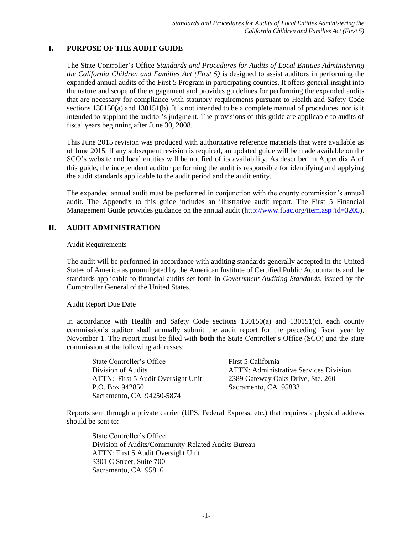# <span id="page-31-0"></span>**I. PURPOSE OF THE AUDIT GUIDE**

The State Controller's Office *Standards and Procedures for Audits of Local Entities Administering the California Children and Families Act (First 5)* is designed to assist auditors in performing the expanded annual audits of the First 5 Program in participating counties. It offers general insight into the nature and scope of the engagement and provides guidelines for performing the expanded audits that are necessary for compliance with statutory requirements pursuant to Health and Safety Code sections 130150(a) and 130151(b). It is not intended to be a complete manual of procedures, nor is it intended to supplant the auditor's judgment. The provisions of this guide are applicable to audits of fiscal years beginning after June 30, 2008.

This June 2015 revision was produced with authoritative reference materials that were available as of June 2015. If any subsequent revision is required, an updated guide will be made available on the SCO's website and local entities will be notified of its availability. As described in Appendix A of this guide, the independent auditor performing the audit is responsible for identifying and applying the audit standards applicable to the audit period and the audit entity.

The expanded annual audit must be performed in conjunction with the county commission's annual audit. The Appendix to this guide includes an illustrative audit report. The First 5 Financial Management Guide provides guidance on the annual audit [\(http://www.f5ac.org/item.asp?id=3205\)](http://www.f5ac.org/item.asp?id=3205).

# **II. AUDIT ADMINISTRATION**

#### Audit Requirements

The audit will be performed in accordance with auditing standards generally accepted in the United States of America as promulgated by the American Institute of Certified Public Accountants and the standards applicable to financial audits set forth in *Government Auditing Standards*, issued by the Comptroller General of the United States.

## <span id="page-31-1"></span>Audit Report Due Date

In accordance with Health and Safety Code sections 130150(a) and 130151(c), each county commission's auditor shall annually submit the audit report for the preceding fiscal year by November 1. The report must be filed with **both** the State Controller's Office (SCO) and the state commission at the following addresses:

State Controller's Office Division of Audits ATTN: First 5 Audit Oversight Unit P.O. Box 942850 Sacramento, CA 94250-5874

First 5 California ATTN: Administrative Services Division 2389 Gateway Oaks Drive, Ste. 260 Sacramento, CA 95833

Reports sent through a private carrier (UPS, Federal Express, etc.) that requires a physical address should be sent to:

State Controller's Office Division of Audits/Community-Related Audits Bureau ATTN: First 5 Audit Oversight Unit 3301 C Street, Suite 700 Sacramento, CA 95816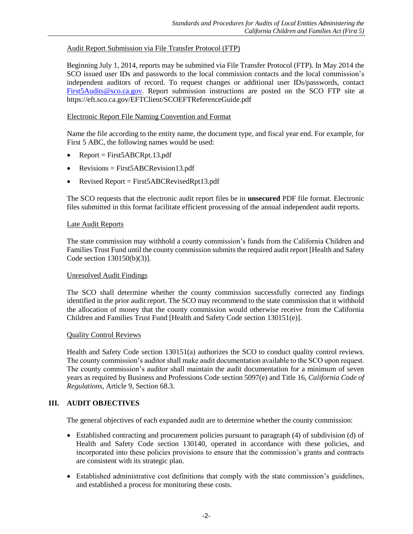# Audit Report Submission via File Transfer Protocol (FTP)

Beginning July 1, 2014, reports may be submitted via File Transfer Protocol (FTP). In May 2014 the SCO issued user IDs and passwords to the local commission contacts and the local commission's independent auditors of record. To request changes or additional user IDs/passwords, contact [First5Audits@sco.ca.gov.](mailto:First5Audits@sco.ca.gov) Report submission instructions are posted on the SCO FTP site at https://eft.sco.ca.gov/EFTClient/SCOEFTReferenceGuide.pdf

# Electronic Report File Naming Convention and Format

Name the file according to the entity name, the document type, and fiscal year end. For example, for First 5 ABC, the following names would be used:

- Report = First5ABCRpt.13.pdf
- Revisions = First5ABCRevision13.pdf
- Revised Report = First5ABCRevisedRpt13.pdf

The SCO requests that the electronic audit report files be in **unsecured** PDF file format. Electronic files submitted in this format facilitate efficient processing of the annual independent audit reports.

# <span id="page-32-0"></span>Late Audit Reports

The state commission may withhold a county commission's funds from the California Children and Families Trust Fund until the county commission submits the required audit report [Health and Safety Code section 130150(b)(3)].

## <span id="page-32-1"></span>Unresolved Audit Findings

The SCO shall determine whether the county commission successfully corrected any findings identified in the prior audit report. The SCO may recommend to the state commission that it withhold the allocation of money that the county commission would otherwise receive from the California Children and Families Trust Fund [Health and Safety Code section 130151(e)].

## <span id="page-32-2"></span>Quality Control Reviews

Health and Safety Code section 130151(a) authorizes the SCO to conduct quality control reviews. The county commission's auditor shall make audit documentation available to the SCO upon request. The county commission's auditor shall maintain the audit documentation for a minimum of seven years as required by Business and Professions Code section 5097(e) and Title 16, *California Code of Regulations*, Article 9, Section 68.3.

# <span id="page-32-3"></span>**III. AUDIT OBJECTIVES**

The general objectives of each expanded audit are to determine whether the county commission:

- Established contracting and procurement policies pursuant to paragraph (4) of subdivision (d) of Health and Safety Code section 130140, operated in accordance with these policies, and incorporated into these policies provisions to ensure that the commission's grants and contracts are consistent with its strategic plan.
- Established administrative cost definitions that comply with the state commission's guidelines, and established a process for monitoring these costs.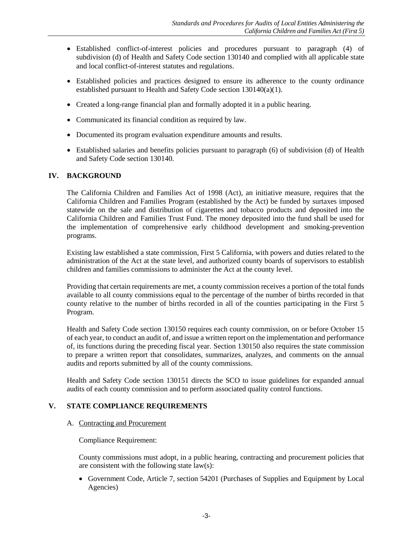- Established conflict-of-interest policies and procedures pursuant to paragraph (4) of subdivision (d) of Health and Safety Code section 130140 and complied with all applicable state and local conflict-of-interest statutes and regulations.
- Established policies and practices designed to ensure its adherence to the county ordinance established pursuant to Health and Safety Code section 130140(a)(1).
- Created a long-range financial plan and formally adopted it in a public hearing.
- Communicated its financial condition as required by law.
- Documented its program evaluation expenditure amounts and results.
- Established salaries and benefits policies pursuant to paragraph (6) of subdivision (d) of Health and Safety Code section 130140.

# <span id="page-33-0"></span>**IV. BACKGROUND**

The California Children and Families Act of 1998 (Act), an initiative measure, requires that the California Children and Families Program (established by the Act) be funded by surtaxes imposed statewide on the sale and distribution of cigarettes and tobacco products and deposited into the California Children and Families Trust Fund. The money deposited into the fund shall be used for the implementation of comprehensive early childhood development and smoking-prevention programs.

Existing law established a state commission, First 5 California, with powers and duties related to the administration of the Act at the state level, and authorized county boards of supervisors to establish children and families commissions to administer the Act at the county level.

Providing that certain requirements are met, a county commission receives a portion of the total funds available to all county commissions equal to the percentage of the number of births recorded in that county relative to the number of births recorded in all of the counties participating in the First 5 Program.

Health and Safety Code section 130150 requires each county commission, on or before October 15 of each year, to conduct an audit of, and issue a written report on the implementation and performance of, its functions during the preceding fiscal year. Section 130150 also requires the state commission to prepare a written report that consolidates, summarizes, analyzes, and comments on the annual audits and reports submitted by all of the county commissions.

Health and Safety Code section 130151 directs the SCO to issue guidelines for expanded annual audits of each county commission and to perform associated quality control functions.

# <span id="page-33-1"></span>**V. STATE COMPLIANCE REQUIREMENTS**

#### A. Contracting and Procurement

Compliance Requirement:

County commissions must adopt, in a public hearing, contracting and procurement policies that are consistent with the following state law(s):

 Government Code, Article 7, section 54201 (Purchases of Supplies and Equipment by Local Agencies)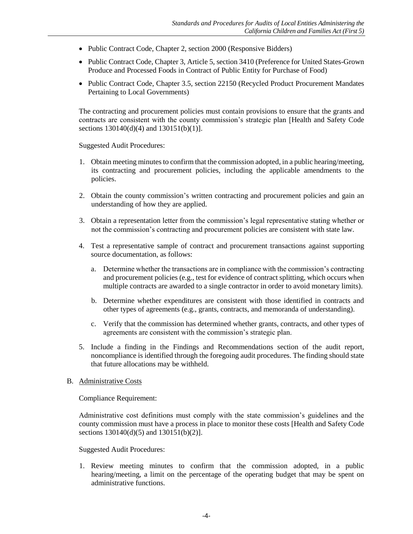- Public Contract Code, Chapter 2, section 2000 (Responsive Bidders)
- Public Contract Code, Chapter 3, Article 5, section 3410 (Preference for United States-Grown Produce and Processed Foods in Contract of Public Entity for Purchase of Food)
- Public Contract Code, Chapter 3.5, section 22150 (Recycled Product Procurement Mandates Pertaining to Local Governments)

The contracting and procurement policies must contain provisions to ensure that the grants and contracts are consistent with the county commission's strategic plan [Health and Safety Code sections 130140(d)(4) and 130151(b)(1)].

Suggested Audit Procedures:

- 1. Obtain meeting minutes to confirm that the commission adopted, in a public hearing/meeting, its contracting and procurement policies, including the applicable amendments to the policies.
- 2. Obtain the county commission's written contracting and procurement policies and gain an understanding of how they are applied.
- 3. Obtain a representation letter from the commission's legal representative stating whether or not the commission's contracting and procurement policies are consistent with state law.
- 4. Test a representative sample of contract and procurement transactions against supporting source documentation, as follows:
	- a. Determine whether the transactions are in compliance with the commission's contracting and procurement policies (e.g., test for evidence of contract splitting, which occurs when multiple contracts are awarded to a single contractor in order to avoid monetary limits).
	- b. Determine whether expenditures are consistent with those identified in contracts and other types of agreements (e.g., grants, contracts, and memoranda of understanding).
	- c. Verify that the commission has determined whether grants, contracts, and other types of agreements are consistent with the commission's strategic plan.
- 5. Include a finding in the Findings and Recommendations section of the audit report, noncompliance is identified through the foregoing audit procedures. The finding should state that future allocations may be withheld.
- <span id="page-34-0"></span>B. Administrative Costs

Compliance Requirement:

Administrative cost definitions must comply with the state commission's guidelines and the county commission must have a process in place to monitor these costs [Health and Safety Code sections 130140(d)(5) and 130151(b)(2)].

## Suggested Audit Procedures:

1. Review meeting minutes to confirm that the commission adopted, in a public hearing/meeting, a limit on the percentage of the operating budget that may be spent on administrative functions.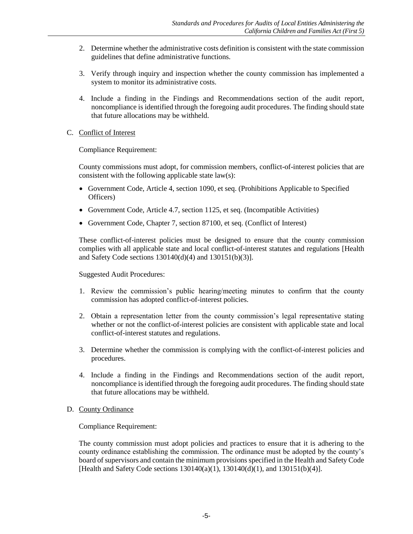- 2. Determine whether the administrative costs definition is consistent with the state commission guidelines that define administrative functions.
- 3. Verify through inquiry and inspection whether the county commission has implemented a system to monitor its administrative costs.
- 4. Include a finding in the Findings and Recommendations section of the audit report, noncompliance is identified through the foregoing audit procedures. The finding should state that future allocations may be withheld.

# <span id="page-35-0"></span>C. Conflict of Interest

Compliance Requirement:

County commissions must adopt, for commission members, conflict-of-interest policies that are consistent with the following applicable state law(s):

- Government Code, Article 4, section 1090, et seq. (Prohibitions Applicable to Specified Officers)
- Government Code, Article 4.7, section 1125, et seq. (Incompatible Activities)
- Government Code, Chapter 7, section 87100, et seq. (Conflict of Interest)

These conflict-of-interest policies must be designed to ensure that the county commission complies with all applicable state and local conflict-of-interest statutes and regulations [Health and Safety Code sections 130140(d)(4) and 130151(b)(3)].

Suggested Audit Procedures:

- 1. Review the commission's public hearing/meeting minutes to confirm that the county commission has adopted conflict-of-interest policies.
- 2. Obtain a representation letter from the county commission's legal representative stating whether or not the conflict-of-interest policies are consistent with applicable state and local conflict-of-interest statutes and regulations.
- 3. Determine whether the commission is complying with the conflict-of-interest policies and procedures.
- 4. Include a finding in the Findings and Recommendations section of the audit report, noncompliance is identified through the foregoing audit procedures. The finding should state that future allocations may be withheld.

## <span id="page-35-1"></span>D. County Ordinance

Compliance Requirement:

The county commission must adopt policies and practices to ensure that it is adhering to the county ordinance establishing the commission. The ordinance must be adopted by the county's board of supervisors and contain the minimum provisions specified in the Health and Safety Code [Health and Safety Code sections  $130140(a)(1)$ ,  $130140(d)(1)$ , and  $130151(b)(4)$ ].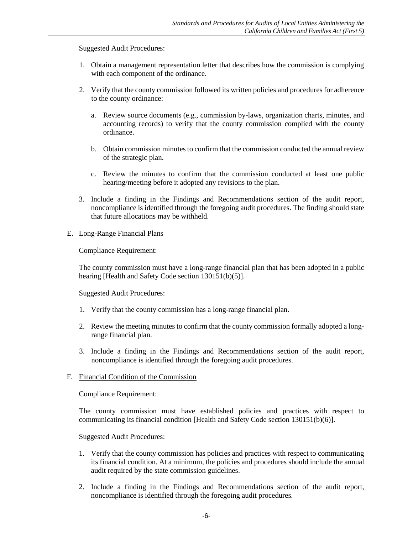# Suggested Audit Procedures:

- 1. Obtain a management representation letter that describes how the commission is complying with each component of the ordinance.
- 2. Verify that the county commission followed its written policies and procedures for adherence to the county ordinance:
	- a. Review source documents (e.g., commission by-laws, organization charts, minutes, and accounting records) to verify that the county commission complied with the county ordinance.
	- b. Obtain commission minutes to confirm that the commission conducted the annual review of the strategic plan.
	- c. Review the minutes to confirm that the commission conducted at least one public hearing/meeting before it adopted any revisions to the plan.
- 3. Include a finding in the Findings and Recommendations section of the audit report, noncompliance is identified through the foregoing audit procedures. The finding should state that future allocations may be withheld.

## <span id="page-36-0"></span>E. Long-Range Financial Plans

Compliance Requirement:

The county commission must have a long-range financial plan that has been adopted in a public hearing [Health and Safety Code section 130151(b)(5)].

Suggested Audit Procedures:

- 1. Verify that the county commission has a long-range financial plan.
- 2. Review the meeting minutes to confirm that the county commission formally adopted a longrange financial plan.
- 3. Include a finding in the Findings and Recommendations section of the audit report, noncompliance is identified through the foregoing audit procedures.

## <span id="page-36-1"></span>F. Financial Condition of the Commission

Compliance Requirement:

The county commission must have established policies and practices with respect to communicating its financial condition [Health and Safety Code section 130151(b)(6)].

Suggested Audit Procedures:

- 1. Verify that the county commission has policies and practices with respect to communicating its financial condition. At a minimum, the policies and procedures should include the annual audit required by the state commission guidelines.
- 2. Include a finding in the Findings and Recommendations section of the audit report, noncompliance is identified through the foregoing audit procedures.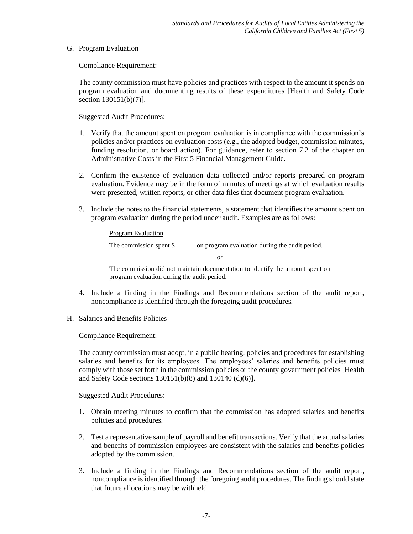<span id="page-37-0"></span>G. Program Evaluation

Compliance Requirement:

The county commission must have policies and practices with respect to the amount it spends on program evaluation and documenting results of these expenditures [Health and Safety Code section 130151(b)(7)].

Suggested Audit Procedures:

- 1. Verify that the amount spent on program evaluation is in compliance with the commission's policies and/or practices on evaluation costs (e.g., the adopted budget, commission minutes, funding resolution, or board action). For guidance, refer to section 7.2 of the chapter on Administrative Costs in the First 5 Financial Management Guide.
- 2. Confirm the existence of evaluation data collected and/or reports prepared on program evaluation. Evidence may be in the form of minutes of meetings at which evaluation results were presented, written reports, or other data files that document program evaluation.
- 3. Include the notes to the financial statements, a statement that identifies the amount spent on program evaluation during the period under audit. Examples are as follows:

Program Evaluation

The commission spent \$\_\_\_\_\_\_\_ on program evaluation during the audit period.

*or*

The commission did not maintain documentation to identify the amount spent on program evaluation during the audit period.

- 4. Include a finding in the Findings and Recommendations section of the audit report, noncompliance is identified through the foregoing audit procedures.
- <span id="page-37-1"></span>H. Salaries and Benefits Policies

Compliance Requirement:

The county commission must adopt, in a public hearing, policies and procedures for establishing salaries and benefits for its employees. The employees' salaries and benefits policies must comply with those set forth in the commission policies or the county government policies [Health and Safety Code sections 130151(b)(8) and 130140 (d)(6)].

Suggested Audit Procedures:

- 1. Obtain meeting minutes to confirm that the commission has adopted salaries and benefits policies and procedures.
- 2. Test a representative sample of payroll and benefit transactions. Verify that the actual salaries and benefits of commission employees are consistent with the salaries and benefits policies adopted by the commission.
- 3. Include a finding in the Findings and Recommendations section of the audit report, noncompliance is identified through the foregoing audit procedures. The finding should state that future allocations may be withheld.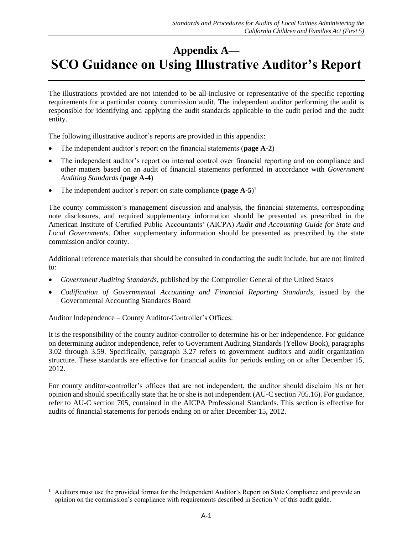# **Appendix A— SCO Guidance on Using Illustrative Auditor's Report**

The illustrations provided are not intended to be all-inclusive or representative of the specific reporting requirements for a particular county commission audit. The independent auditor performing the audit is responsible for identifying and applying the audit standards applicable to the audit period and the audit entity.

The following illustrative auditor's reports are provided in this appendix:

- The independent auditor's report on the financial statements (**page A-2**)
- The independent auditor's report on internal control over financial reporting and on compliance and other matters based on an audit of financial statements performed in accordance with *Government Auditing Standards* (**page A-4**)
- The independent auditor's report on state compliance (**page A-5**)<sup>1</sup>

The county commission's management discussion and analysis, the financial statements, corresponding note disclosures, and required supplementary information should be presented as prescribed in the American Institute of Certified Public Accountants' (AICPA) *Audit and Accounting Guide for State and Local Governments*. Other supplementary information should be presented as prescribed by the state commission and/or county.

Additional reference materials that should be consulted in conducting the audit include, but are not limited to:

- *Government Auditing Standards*, published by the Comptroller General of the United States
- *Codification of Governmental Accounting and Financial Reporting Standards*, issued by the Governmental Accounting Standards Board

Auditor Independence – County Auditor-Controller's Offices:

 $\overline{a}$ 

It is the responsibility of the county auditor-controller to determine his or her independence. For guidance on determining auditor independence, refer to Government Auditing Standards (Yellow Book), paragraphs 3.02 through 3.59. Specifically, paragraph 3.27 refers to government auditors and audit organization structure. These standards are effective for financial audits for periods ending on or after December 15, 2012.

For county auditor-controller's offices that are not independent, the auditor should disclaim his or her opinion and should specifically state that he or she is not independent (AU-C section 705.16). For guidance, refer to AU-C section 705, contained in the AICPA Professional Standards. This section is effective for audits of financial statements for periods ending on or after December 15, 2012.

<sup>1</sup> Auditors must use the provided format for the Independent Auditor's Report on State Compliance and provide an opinion on the commission's compliance with requirements described in Section V of this audit guide.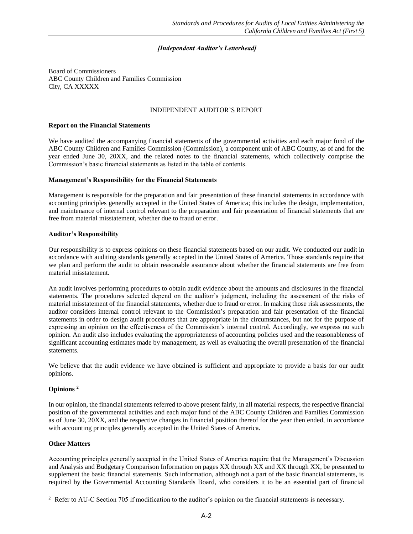#### *[Independent Auditor's Letterhead]*

Board of Commissioners ABC County Children and Families Commission City, CA XXXXX

#### INDEPENDENT AUDITOR'S REPORT

#### **Report on the Financial Statements**

We have audited the accompanying financial statements of the governmental activities and each major fund of the ABC County Children and Families Commission (Commission), a component unit of ABC County, as of and for the year ended June 30, 20XX, and the related notes to the financial statements, which collectively comprise the Commission's basic financial statements as listed in the table of contents.

#### **Management's Responsibility for the Financial Statements**

Management is responsible for the preparation and fair presentation of these financial statements in accordance with accounting principles generally accepted in the United States of America; this includes the design, implementation, and maintenance of internal control relevant to the preparation and fair presentation of financial statements that are free from material misstatement, whether due to fraud or error.

#### **Auditor's Responsibility**

Our responsibility is to express opinions on these financial statements based on our audit. We conducted our audit in accordance with auditing standards generally accepted in the United States of America. Those standards require that we plan and perform the audit to obtain reasonable assurance about whether the financial statements are free from material misstatement.

An audit involves performing procedures to obtain audit evidence about the amounts and disclosures in the financial statements. The procedures selected depend on the auditor's judgment, including the assessment of the risks of material misstatement of the financial statements, whether due to fraud or error. In making those risk assessments, the auditor considers internal control relevant to the Commission's preparation and fair presentation of the financial statements in order to design audit procedures that are appropriate in the circumstances, but not for the purpose of expressing an opinion on the effectiveness of the Commission's internal control. Accordingly, we express no such opinion. An audit also includes evaluating the appropriateness of accounting policies used and the reasonableness of significant accounting estimates made by management, as well as evaluating the overall presentation of the financial statements.

We believe that the audit evidence we have obtained is sufficient and appropriate to provide a basis for our audit opinions.

#### **Opinions <sup>2</sup>**

In our opinion, the financial statements referred to above present fairly, in all material respects, the respective financial position of the governmental activities and each major fund of the ABC County Children and Families Commission as of June 30, 20XX, and the respective changes in financial position thereof for the year then ended, in accordance with accounting principles generally accepted in the United States of America.

#### **Other Matters**

l

Accounting principles generally accepted in the United States of America require that the Management's Discussion and Analysis and Budgetary Comparison Information on pages XX through XX and XX through XX, be presented to supplement the basic financial statements. Such information, although not a part of the basic financial statements, is required by the Governmental Accounting Standards Board, who considers it to be an essential part of financial

<sup>&</sup>lt;sup>2</sup> Refer to AU-C Section 705 if modification to the auditor's opinion on the financial statements is necessary.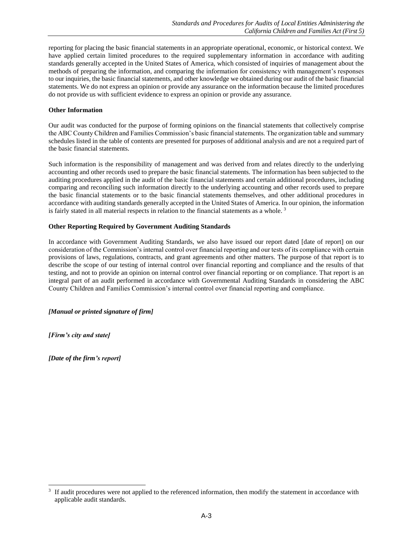reporting for placing the basic financial statements in an appropriate operational, economic, or historical context. We have applied certain limited procedures to the required supplementary information in accordance with auditing standards generally accepted in the United States of America, which consisted of inquiries of management about the methods of preparing the information, and comparing the information for consistency with management's responses to our inquiries, the basic financial statements, and other knowledge we obtained during our audit of the basic financial statements. We do not express an opinion or provide any assurance on the information because the limited procedures do not provide us with sufficient evidence to express an opinion or provide any assurance.

#### **Other Information**

Our audit was conducted for the purpose of forming opinions on the financial statements that collectively comprise the ABC County Children and Families Commission's basic financial statements. The organization table and summary schedules listed in the table of contents are presented for purposes of additional analysis and are not a required part of the basic financial statements.

Such information is the responsibility of management and was derived from and relates directly to the underlying accounting and other records used to prepare the basic financial statements. The information has been subjected to the auditing procedures applied in the audit of the basic financial statements and certain additional procedures, including comparing and reconciling such information directly to the underlying accounting and other records used to prepare the basic financial statements or to the basic financial statements themselves, and other additional procedures in accordance with auditing standards generally accepted in the United States of America. In our opinion, the information is fairly stated in all material respects in relation to the financial statements as a whole.<sup>3</sup>

#### **Other Reporting Required by Government Auditing Standards**

In accordance with Government Auditing Standards, we also have issued our report dated [date of report] on our consideration of the Commission's internal control over financial reporting and our tests of its compliance with certain provisions of laws, regulations, contracts, and grant agreements and other matters. The purpose of that report is to describe the scope of our testing of internal control over financial reporting and compliance and the results of that testing, and not to provide an opinion on internal control over financial reporting or on compliance. That report is an integral part of an audit performed in accordance with Governmental Auditing Standards in considering the ABC County Children and Families Commission's internal control over financial reporting and compliance.

*[Manual or printed signature of firm]*

*[Firm's city and state]*

 $\overline{a}$ 

*[Date of the firm's report]*

<sup>3</sup> If audit procedures were not applied to the referenced information, then modify the statement in accordance with applicable audit standards.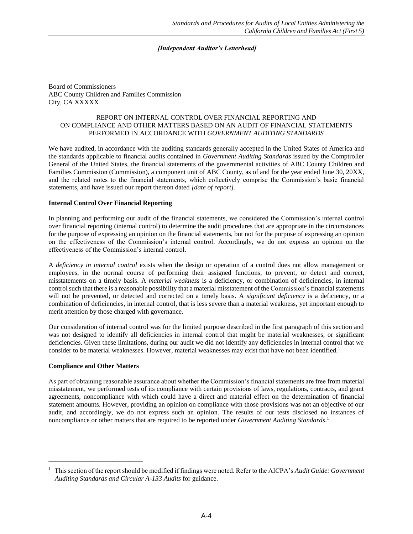#### *[Independent Auditor's Letterhead]*

Board of Commissioners ABC County Children and Families Commission City, CA XXXXX

#### REPORT ON INTERNAL CONTROL OVER FINANCIAL REPORTING AND ON COMPLIANCE AND OTHER MATTERS BASED ON AN AUDIT OF FINANCIAL STATEMENTS PERFORMED IN ACCORDANCE WITH *GOVERNMENT AUDITING STANDARDS*

We have audited, in accordance with the auditing standards generally accepted in the United States of America and the standards applicable to financial audits contained in *Government Auditing Standards* issued by the Comptroller General of the United States, the financial statements of the governmental activities of ABC County Children and Families Commission (Commission), a component unit of ABC County, as of and for the year ended June 30, 20XX, and the related notes to the financial statements, which collectively comprise the Commission's basic financial statements, and have issued our report thereon dated *[date of report]*.

#### **Internal Control Over Financial Reporting**

In planning and performing our audit of the financial statements, we considered the Commission's internal control over financial reporting (internal control) to determine the audit procedures that are appropriate in the circumstances for the purpose of expressing an opinion on the financial statements, but not for the purpose of expressing an opinion on the effectiveness of the Commission's internal control. Accordingly, we do not express an opinion on the effectiveness of the Commission's internal control.

A *deficiency in internal control* exists when the design or operation of a control does not allow management or employees, in the normal course of performing their assigned functions, to prevent, or detect and correct, misstatements on a timely basis. A *material weakness* is a deficiency, or combination of deficiencies, in internal control such that there is a reasonable possibility that a material misstatement of the Commission's financial statements will not be prevented, or detected and corrected on a timely basis. A *significant deficiency* is a deficiency, or a combination of deficiencies, in internal control, that is less severe than a material weakness, yet important enough to merit attention by those charged with governance.

Our consideration of internal control was for the limited purpose described in the first paragraph of this section and was not designed to identify all deficiencies in internal control that might be material weaknesses, or significant deficiencies. Given these limitations, during our audit we did not identify any deficiencies in internal control that we consider to be material weaknesses. However, material weaknesses may exist that have not been identified.<sup>1</sup>

#### **Compliance and Other Matters**

\_\_\_\_\_\_\_\_\_\_\_\_\_\_\_\_\_\_\_\_\_\_\_\_\_\_\_\_

As part of obtaining reasonable assurance about whether the Commission's financial statements are free from material misstatement, we performed tests of its compliance with certain provisions of laws, regulations, contracts, and grant agreements, noncompliance with which could have a direct and material effect on the determination of financial statement amounts. However, providing an opinion on compliance with those provisions was not an objective of our audit, and accordingly, we do not express such an opinion. The results of our tests disclosed no instances of noncompliance or other matters that are required to be reported under *Government Auditing Standards*. 1

<sup>1</sup> This section of the report should be modified if findings were noted. Refer to the AICPA's *Audit Guide: Government Auditing Standards and Circular A-133 Audits* for guidance.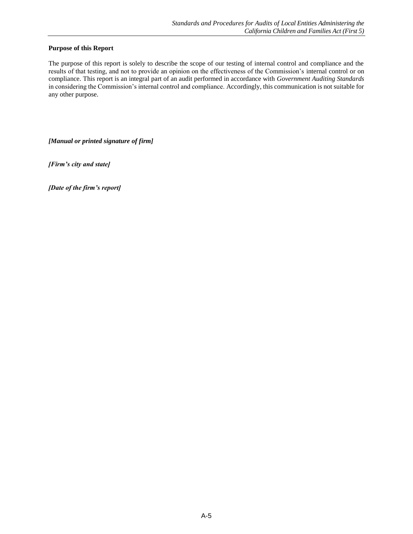#### **Purpose of this Report**

The purpose of this report is solely to describe the scope of our testing of internal control and compliance and the results of that testing, and not to provide an opinion on the effectiveness of the Commission's internal control or on compliance. This report is an integral part of an audit performed in accordance with *Government Auditing Standards* in considering the Commission's internal control and compliance. Accordingly, this communication is not suitable for any other purpose.

*[Manual or printed signature of firm]*

*[Firm's city and state]*

*[Date of the firm's report]*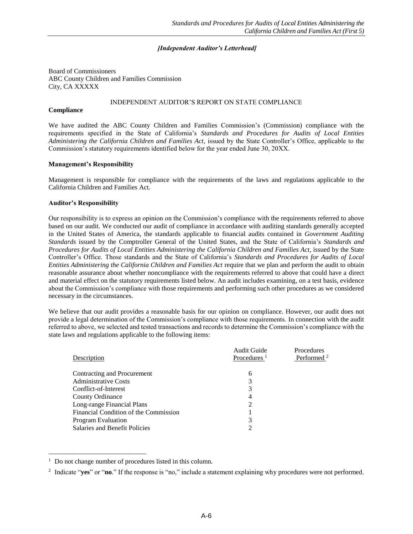#### *[Independent Auditor's Letterhead]*

Board of Commissioners ABC County Children and Families Commission City, CA XXXXX

#### INDEPENDENT AUDITOR'S REPORT ON STATE COMPLIANCE

#### **Compliance**

We have audited the ABC County Children and Families Commission's (Commission) compliance with the requirements specified in the State of California's *Standards and Procedures for Audits of Local Entities Administering the California Children and Families Act*, issued by the State Controller's Office, applicable to the Commission's statutory requirements identified below for the year ended June 30, 20XX.

#### **Management's Responsibility**

Management is responsible for compliance with the requirements of the laws and regulations applicable to the California Children and Families Act.

#### **Auditor's Responsibility**

Our responsibility is to express an opinion on the Commission's compliance with the requirements referred to above based on our audit. We conducted our audit of compliance in accordance with auditing standards generally accepted in the United States of America, the standards applicable to financial audits contained in *Government Auditing Standards* issued by the Comptroller General of the United States, and the State of California's *Standards and Procedures for Audits of Local Entities Administering the California Children and Families Act*, issued by the State Controller's Office. Those standards and the State of California's *Standards and Procedures for Audits of Local Entities Administering the California Children and Families Act* require that we plan and perform the audit to obtain reasonable assurance about whether noncompliance with the requirements referred to above that could have a direct and material effect on the statutory requirements listed below. An audit includes examining, on a test basis, evidence about the Commission's compliance with those requirements and performing such other procedures as we considered necessary in the circumstances.

We believe that our audit provides a reasonable basis for our opinion on compliance. However, our audit does not provide a legal determination of the Commission's compliance with those requirements. In connection with the audit referred to above, we selected and tested transactions and records to determine the Commission's compliance with the state laws and regulations applicable to the following items:

| Description                           | Audit Guide<br>Procedures <sup>1</sup> | Procedures<br>Performed <sup>2</sup> |
|---------------------------------------|----------------------------------------|--------------------------------------|
| Contracting and Procurement           | 6                                      |                                      |
| <b>Administrative Costs</b>           | 3                                      |                                      |
| Conflict-of-Interest                  | 3                                      |                                      |
| County Ordinance                      | 4                                      |                                      |
| Long-range Financial Plans            | 2                                      |                                      |
| Financial Condition of the Commission |                                        |                                      |
| <b>Program Evaluation</b>             |                                        |                                      |
| Salaries and Benefit Policies         |                                        |                                      |

 $1$  Do not change number of procedures listed in this column.

\_\_\_\_\_\_\_\_\_\_\_\_\_\_\_\_\_\_\_\_\_\_\_\_\_\_\_\_\_

<sup>2</sup> Indicate "**yes**" or "**no**." If the response is "no," include a statement explaining why procedures were not performed.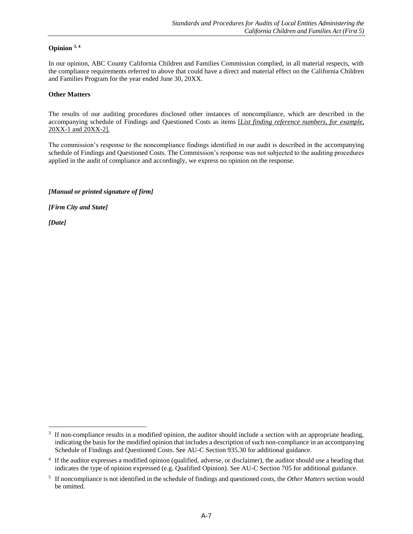#### **Opinion 3, 4**

In our opinion, ABC County California Children and Families Commission complied, in all material respects, with the compliance requirements referred to above that could have a direct and material effect on the California Children and Families Program for the year ended June 30, 20XX.

#### **Other Matters**

The results of our auditing procedures disclosed other instances of noncompliance, which are described in the accompanying schedule of Findings and Questioned Costs as items [*List finding reference numbers, for example,*  20XX-1 and 20XX-2].

The commission's response to the noncompliance findings identified in our audit is described in the accompanying schedule of Findings and Questioned Costs. The Commission's response was not subjected to the auditing procedures applied in the audit of compliance and accordingly, we express no opinion on the response.

#### *[Manual or printed signature of firm]*

\_\_\_\_\_\_\_\_\_\_\_\_\_\_\_\_\_\_\_\_\_\_\_\_\_\_\_\_\_

*[Firm City and State]*

*[Date]*

<sup>3</sup> If non-compliance results in a modified opinion, the auditor should include a section with an appropriate heading, indicating the basis for the modified opinion that includes a description of such non-compliance in an accompanying Schedule of Findings and Questioned Costs. See AU-C Section 935.30 for additional guidance.

<sup>4</sup> If the auditor expresses a modified opinion (qualified, adverse, or disclaimer), the auditor should use a heading that indicates the type of opinion expressed (e.g. Qualified Opinion). See AU-C Section 705 for additional guidance.

<sup>5</sup> If noncompliance is not identified in the schedule of findings and questioned costs, the *Other Matters* section would be omitted.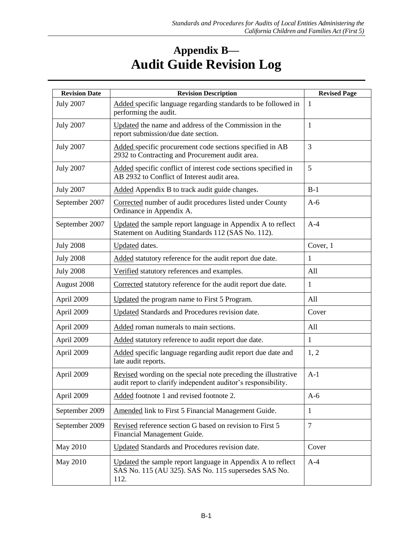# **Appendix B— Audit Guide Revision Log**

| <b>Revision Date</b> | <b>Revision Description</b>                                                                                                     | <b>Revised Page</b> |
|----------------------|---------------------------------------------------------------------------------------------------------------------------------|---------------------|
| <b>July 2007</b>     | Added specific language regarding standards to be followed in<br>performing the audit.                                          | 1                   |
| <b>July 2007</b>     | Updated the name and address of the Commission in the<br>report submission/due date section.                                    | 1                   |
| <b>July 2007</b>     | Added specific procurement code sections specified in AB<br>2932 to Contracting and Procurement audit area.                     | 3                   |
| <b>July 2007</b>     | Added specific conflict of interest code sections specified in<br>AB 2932 to Conflict of Interest audit area.                   | 5                   |
| <b>July 2007</b>     | Added Appendix B to track audit guide changes.                                                                                  | $B-1$               |
| September 2007       | Corrected number of audit procedures listed under County<br>Ordinance in Appendix A.                                            | $A-6$               |
| September 2007       | Updated the sample report language in Appendix A to reflect<br>Statement on Auditing Standards 112 (SAS No. 112).               | $A-4$               |
| <b>July 2008</b>     | Updated dates.                                                                                                                  | Cover, 1            |
| <b>July 2008</b>     | Added statutory reference for the audit report due date.                                                                        | 1                   |
| <b>July 2008</b>     | Verified statutory references and examples.                                                                                     | All                 |
| August 2008          | Corrected statutory reference for the audit report due date.                                                                    | 1                   |
| April 2009           | Updated the program name to First 5 Program.                                                                                    | All                 |
| April 2009           | Updated Standards and Procedures revision date.                                                                                 | Cover               |
| April 2009           | Added roman numerals to main sections.                                                                                          | All                 |
| April 2009           | Added statutory reference to audit report due date.                                                                             | 1                   |
| April 2009           | Added specific language regarding audit report due date and<br>late audit reports.                                              | 1, 2                |
| April 2009           | Revised wording on the special note preceding the illustrative<br>audit report to clarify independent auditor's responsibility. | $A-1$               |
| April 2009           | Added footnote 1 and revised footnote 2.                                                                                        | $A-6$               |
| September 2009       | Amended link to First 5 Financial Management Guide.                                                                             | $\mathbf{1}$        |
| September 2009       | Revised reference section G based on revision to First 5<br>Financial Management Guide.                                         | $\overline{7}$      |
| May 2010             | <b>Updated Standards and Procedures revision date.</b>                                                                          | Cover               |
| <b>May 2010</b>      | Updated the sample report language in Appendix A to reflect<br>SAS No. 115 (AU 325). SAS No. 115 supersedes SAS No.<br>112.     | $A-4$               |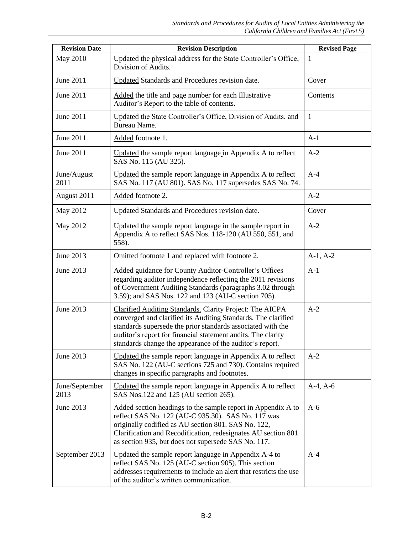| <b>Revision Date</b>   | <b>Revision Description</b>                                                                                                                                                                                                                                                                                          | <b>Revised Page</b> |
|------------------------|----------------------------------------------------------------------------------------------------------------------------------------------------------------------------------------------------------------------------------------------------------------------------------------------------------------------|---------------------|
| <b>May 2010</b>        | Updated the physical address for the State Controller's Office,<br>Division of Audits.                                                                                                                                                                                                                               | $\mathbf{1}$        |
| June 2011              | <b>Updated Standards and Procedures revision date.</b>                                                                                                                                                                                                                                                               | Cover               |
| June 2011              | Added the title and page number for each Illustrative<br>Auditor's Report to the table of contents.                                                                                                                                                                                                                  | Contents            |
| June 2011              | Updated the State Controller's Office, Division of Audits, and<br>Bureau Name.                                                                                                                                                                                                                                       | $\mathbf{1}$        |
| June 2011              | Added footnote 1.                                                                                                                                                                                                                                                                                                    | $A-1$               |
| June 2011              | Updated the sample report language in Appendix A to reflect<br>SAS No. 115 (AU 325).                                                                                                                                                                                                                                 | $A-2$               |
| June/August<br>2011    | Updated the sample report language in Appendix A to reflect<br>SAS No. 117 (AU 801). SAS No. 117 supersedes SAS No. 74.                                                                                                                                                                                              | $A-4$               |
| August 2011            | Added footnote 2.                                                                                                                                                                                                                                                                                                    | $A-2$               |
| May 2012               | Updated Standards and Procedures revision date.                                                                                                                                                                                                                                                                      | Cover               |
| May 2012               | Updated the sample report language in the sample report in<br>Appendix A to reflect SAS Nos. 118-120 (AU 550, 551, and<br>558).                                                                                                                                                                                      | $A-2$               |
| June 2013              | Omitted footnote 1 and replaced with footnote 2.                                                                                                                                                                                                                                                                     | $A-1, A-2$          |
| June 2013              | Added guidance for County Auditor-Controller's Offices<br>regarding auditor independence reflecting the 2011 revisions<br>of Government Auditing Standards (paragraphs 3.02 through<br>3.59); and SAS Nos. 122 and 123 (AU-C section 705).                                                                           | $A-1$               |
| June 2013              | Clarified Auditing Standards. Clarity Project: The AICPA<br>converged and clarified its Auditing Standards. The clarified<br>standards supersede the prior standards associated with the<br>auditor's report for financial statement audits. The clarity<br>standards change the appearance of the auditor's report. | $A-2$               |
| June 2013              | Updated the sample report language in Appendix A to reflect<br>SAS No. 122 (AU-C sections 725 and 730). Contains required<br>changes in specific paragraphs and footnotes.                                                                                                                                           | $A-2$               |
| June/September<br>2013 | Updated the sample report language in Appendix A to reflect<br>SAS Nos.122 and 125 (AU section 265).                                                                                                                                                                                                                 | $A-4, A-6$          |
| June 2013              | Added section headings to the sample report in Appendix A to<br>reflect SAS No. 122 (AU-C 935.30). SAS No. 117 was<br>originally codified as AU section 801. SAS No. 122,<br>Clarification and Recodification, redesignates AU section 801<br>as section 935, but does not supersede SAS No. 117.                    | $A-6$               |
| September 2013         | Updated the sample report language in Appendix A-4 to<br>reflect SAS No. 125 (AU-C section 905). This section<br>addresses requirements to include an alert that restricts the use<br>of the auditor's written communication.                                                                                        | $A-4$               |